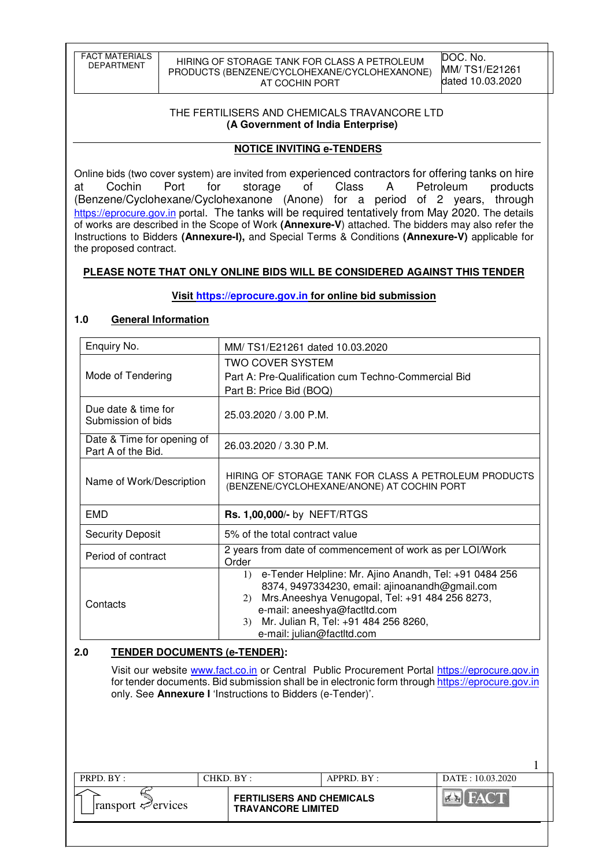| <b>FACT MATERIALS</b> |
|-----------------------|
| DEPARTMENT            |
|                       |

HIRING OF STORAGE TANK FOR CLASS A PETROLEUM PRODUCTS (BENZENE/CYCLOHEXANE/CYCLOHEXANONE) AT COCHIN PORT

1

#### THE FERTILISERS AND CHEMICALS TRAVANCORE LTD  **(A Government of India Enterprise)**

### **NOTICE INVITING e-TENDERS**

Online bids (two cover system) are invited from experienced contractors for offering tanks on hire at Cochin Port for storage of Class A Petroleum products (Benzene/Cyclohexane/Cyclohexanone (Anone) for a period of 2 years, through https://eprocure.gov.in portal. The tanks will be required tentatively from May 2020. The details of works are described in the Scope of Work **(Annexure-V**) attached. The bidders may also refer the Instructions to Bidders **(Annexure-I),** and Special Terms & Conditions **(Annexure-V)** applicable for the proposed contract.

### **PLEASE NOTE THAT ONLY ONLINE BIDS WILL BE CONSIDERED AGAINST THIS TENDER**

### **Visit https://eprocure.gov.in for online bid submission**

### **1.0 General Information**

| Enquiry No.                                      | MM/TS1/E21261 dated 10.03.2020                                                                                                                                                                                                                                                               |  |  |  |  |  |
|--------------------------------------------------|----------------------------------------------------------------------------------------------------------------------------------------------------------------------------------------------------------------------------------------------------------------------------------------------|--|--|--|--|--|
| Mode of Tendering                                | <b>TWO COVER SYSTEM</b><br>Part A: Pre-Qualification cum Techno-Commercial Bid<br>Part B: Price Bid (BOQ)                                                                                                                                                                                    |  |  |  |  |  |
| Due date & time for<br>Submission of bids        | 25.03.2020 / 3.00 P.M.                                                                                                                                                                                                                                                                       |  |  |  |  |  |
| Date & Time for opening of<br>Part A of the Bid. | 26.03.2020 / 3.30 P.M.                                                                                                                                                                                                                                                                       |  |  |  |  |  |
| Name of Work/Description                         | HIRING OF STORAGE TANK FOR CLASS A PETROLEUM PRODUCTS<br>(BENZENE/CYCLOHEXANE/ANONE) AT COCHIN PORT                                                                                                                                                                                          |  |  |  |  |  |
| <b>EMD</b>                                       | Rs. 1,00,000/- by NEFT/RTGS                                                                                                                                                                                                                                                                  |  |  |  |  |  |
| <b>Security Deposit</b>                          | 5% of the total contract value                                                                                                                                                                                                                                                               |  |  |  |  |  |
| Period of contract                               | 2 years from date of commencement of work as per LOI/Work<br>Order                                                                                                                                                                                                                           |  |  |  |  |  |
| Contacts                                         | 1) e-Tender Helpline: Mr. Ajino Anandh, Tel: +91 0484 256<br>8374, 9497334230, email: ajinoanandh@gmail.com<br>Mrs.Aneeshya Venugopal, Tel: +91 484 256 8273,<br>(2)<br>e-mail: aneeshya@factltd.com<br>Mr. Julian R, Tel: +91 484 256 8260,<br>3 <sup>)</sup><br>e-mail: julian@factltd.com |  |  |  |  |  |

### **2.0 TENDER DOCUMENTS (e-TENDER):**

Visit our website www.fact.co.in or Central Public Procurement Portal https://eprocure.gov.in for tender documents. Bid submission shall be in electronic form through https://eprocure.gov.in only. See **Annexure I** 'Instructions to Bidders (e-Tender)'.

| PRPD. BY:                 | CHKD. BY :                                                    | APPRD. BY: | DATE: 10.03.2020 |
|---------------------------|---------------------------------------------------------------|------------|------------------|
| $ ransport \le 0$ ervices | <b>FERTILISERS AND CHEMICALS</b><br><b>TRAVANCORE LIMITED</b> |            | $-WA$<br>المكاتب |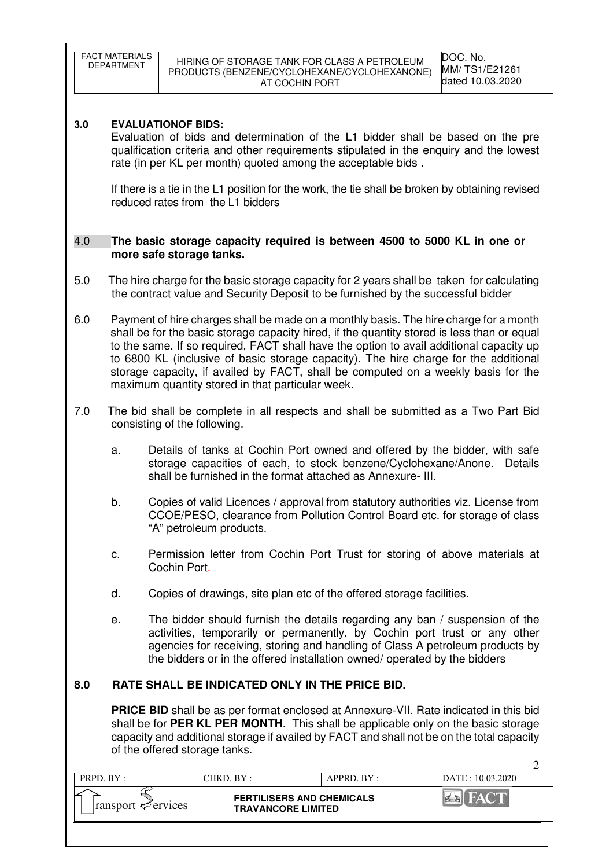|                                                                                                                                                                                                                                                                                                                 | <b>FACT MATERIALS</b><br>DEPARTMENT                                                                                                                                                                                                                                                                                                                                                                                                                                                                              |                                                                                                                                                                                                                         | AT COCHIN PORT                                                | HIRING OF STORAGE TANK FOR CLASS A PETROLEUM<br>PRODUCTS (BENZENE/CYCLOHEXANE/CYCLOHEXANONE)                                                                                  | DOC. No.<br>MM/TS1/E21261<br>dated 10.03.2020 |  |  |  |
|-----------------------------------------------------------------------------------------------------------------------------------------------------------------------------------------------------------------------------------------------------------------------------------------------------------------|------------------------------------------------------------------------------------------------------------------------------------------------------------------------------------------------------------------------------------------------------------------------------------------------------------------------------------------------------------------------------------------------------------------------------------------------------------------------------------------------------------------|-------------------------------------------------------------------------------------------------------------------------------------------------------------------------------------------------------------------------|---------------------------------------------------------------|-------------------------------------------------------------------------------------------------------------------------------------------------------------------------------|-----------------------------------------------|--|--|--|
| 3.0                                                                                                                                                                                                                                                                                                             | <b>EVALUATIONOF BIDS:</b><br>Evaluation of bids and determination of the L1 bidder shall be based on the pre<br>qualification criteria and other requirements stipulated in the enquiry and the lowest<br>rate (in per KL per month) quoted among the acceptable bids.<br>If there is a tie in the L1 position for the work, the tie shall be broken by obtaining revised<br>reduced rates from the L1 bidders                                                                                                   |                                                                                                                                                                                                                         |                                                               |                                                                                                                                                                               |                                               |  |  |  |
| 4.0                                                                                                                                                                                                                                                                                                             |                                                                                                                                                                                                                                                                                                                                                                                                                                                                                                                  | more safe storage tanks.                                                                                                                                                                                                |                                                               | The basic storage capacity required is between 4500 to 5000 KL in one or                                                                                                      |                                               |  |  |  |
| 5.0                                                                                                                                                                                                                                                                                                             |                                                                                                                                                                                                                                                                                                                                                                                                                                                                                                                  |                                                                                                                                                                                                                         |                                                               | The hire charge for the basic storage capacity for 2 years shall be taken for calculating<br>the contract value and Security Deposit to be furnished by the successful bidder |                                               |  |  |  |
| 6.0                                                                                                                                                                                                                                                                                                             | Payment of hire charges shall be made on a monthly basis. The hire charge for a month<br>shall be for the basic storage capacity hired, if the quantity stored is less than or equal<br>to the same. If so required, FACT shall have the option to avail additional capacity up<br>to 6800 KL (inclusive of basic storage capacity). The hire charge for the additional<br>storage capacity, if availed by FACT, shall be computed on a weekly basis for the<br>maximum quantity stored in that particular week. |                                                                                                                                                                                                                         |                                                               |                                                                                                                                                                               |                                               |  |  |  |
| 7.0                                                                                                                                                                                                                                                                                                             |                                                                                                                                                                                                                                                                                                                                                                                                                                                                                                                  | consisting of the following.                                                                                                                                                                                            |                                                               | The bid shall be complete in all respects and shall be submitted as a Two Part Bid                                                                                            |                                               |  |  |  |
|                                                                                                                                                                                                                                                                                                                 | a.                                                                                                                                                                                                                                                                                                                                                                                                                                                                                                               | Details of tanks at Cochin Port owned and offered by the bidder, with safe<br>storage capacities of each, to stock benzene/Cyclohexane/Anone.<br>Details<br>shall be furnished in the format attached as Annexure- III. |                                                               |                                                                                                                                                                               |                                               |  |  |  |
|                                                                                                                                                                                                                                                                                                                 | Copies of valid Licences / approval from statutory authorities viz. License from<br>b.<br>CCOE/PESO, clearance from Pollution Control Board etc. for storage of class<br>"A" petroleum products.                                                                                                                                                                                                                                                                                                                 |                                                                                                                                                                                                                         |                                                               |                                                                                                                                                                               |                                               |  |  |  |
|                                                                                                                                                                                                                                                                                                                 | Permission letter from Cochin Port Trust for storing of above materials at<br>C.<br>Cochin Port.                                                                                                                                                                                                                                                                                                                                                                                                                 |                                                                                                                                                                                                                         |                                                               |                                                                                                                                                                               |                                               |  |  |  |
|                                                                                                                                                                                                                                                                                                                 | d.<br>Copies of drawings, site plan etc of the offered storage facilities.                                                                                                                                                                                                                                                                                                                                                                                                                                       |                                                                                                                                                                                                                         |                                                               |                                                                                                                                                                               |                                               |  |  |  |
|                                                                                                                                                                                                                                                                                                                 | The bidder should furnish the details regarding any ban / suspension of the<br>е.<br>activities, temporarily or permanently, by Cochin port trust or any other<br>agencies for receiving, storing and handling of Class A petroleum products by<br>the bidders or in the offered installation owned/ operated by the bidders                                                                                                                                                                                     |                                                                                                                                                                                                                         |                                                               |                                                                                                                                                                               |                                               |  |  |  |
| 8.0                                                                                                                                                                                                                                                                                                             | RATE SHALL BE INDICATED ONLY IN THE PRICE BID.                                                                                                                                                                                                                                                                                                                                                                                                                                                                   |                                                                                                                                                                                                                         |                                                               |                                                                                                                                                                               |                                               |  |  |  |
| <b>PRICE BID</b> shall be as per format enclosed at Annexure-VII. Rate indicated in this bid<br>shall be for PER KL PER MONTH. This shall be applicable only on the basic storage<br>capacity and additional storage if availed by FACT and shall not be on the total capacity<br>of the offered storage tanks. |                                                                                                                                                                                                                                                                                                                                                                                                                                                                                                                  |                                                                                                                                                                                                                         |                                                               |                                                                                                                                                                               |                                               |  |  |  |
|                                                                                                                                                                                                                                                                                                                 | PRPD. BY:                                                                                                                                                                                                                                                                                                                                                                                                                                                                                                        |                                                                                                                                                                                                                         | CHKD. BY:                                                     | APPRD. BY:                                                                                                                                                                    | 2<br>DATE: 10.03.2020                         |  |  |  |
|                                                                                                                                                                                                                                                                                                                 | ransport ∉ervices                                                                                                                                                                                                                                                                                                                                                                                                                                                                                                |                                                                                                                                                                                                                         | <b>FERTILISERS AND CHEMICALS</b><br><b>TRAVANCORE LIMITED</b> |                                                                                                                                                                               | FACT                                          |  |  |  |
|                                                                                                                                                                                                                                                                                                                 |                                                                                                                                                                                                                                                                                                                                                                                                                                                                                                                  |                                                                                                                                                                                                                         |                                                               |                                                                                                                                                                               |                                               |  |  |  |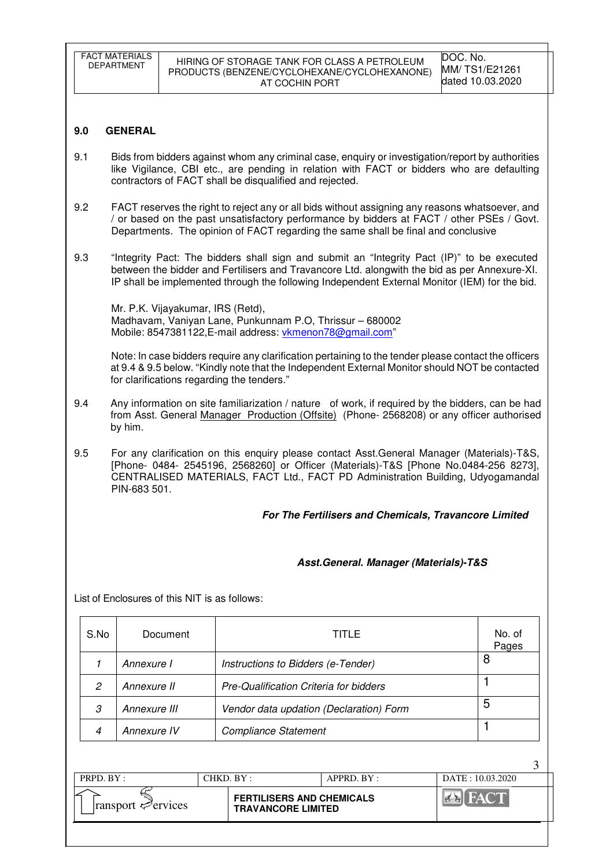|                                                       | <b>FACT MATERIALS</b><br>DOC. No.<br>HIRING OF STORAGE TANK FOR CLASS A PETROLEUM<br><b>DEPARTMENT</b><br>MM/TS1/E21261<br>PRODUCTS (BENZENE/CYCLOHEXANE/CYCLOHEXANONE)<br>dated 10.03.2020<br>AT COCHIN PORT                                                                         |                                               |                                                                                                                                                                                                                                                                                             |                 |  |  |  |  |
|-------------------------------------------------------|---------------------------------------------------------------------------------------------------------------------------------------------------------------------------------------------------------------------------------------------------------------------------------------|-----------------------------------------------|---------------------------------------------------------------------------------------------------------------------------------------------------------------------------------------------------------------------------------------------------------------------------------------------|-----------------|--|--|--|--|
|                                                       |                                                                                                                                                                                                                                                                                       |                                               |                                                                                                                                                                                                                                                                                             |                 |  |  |  |  |
| 9.0                                                   | <b>GENERAL</b>                                                                                                                                                                                                                                                                        |                                               |                                                                                                                                                                                                                                                                                             |                 |  |  |  |  |
| 9.1                                                   | Bids from bidders against whom any criminal case, enquiry or investigation/report by authorities<br>like Vigilance, CBI etc., are pending in relation with FACT or bidders who are defaulting<br>contractors of FACT shall be disqualified and rejected.                              |                                               |                                                                                                                                                                                                                                                                                             |                 |  |  |  |  |
| 9.2                                                   |                                                                                                                                                                                                                                                                                       |                                               | FACT reserves the right to reject any or all bids without assigning any reasons whatsoever, and<br>/ or based on the past unsatisfactory performance by bidders at FACT / other PSEs / Govt.<br>Departments. The opinion of FACT regarding the same shall be final and conclusive           |                 |  |  |  |  |
| 9.3                                                   |                                                                                                                                                                                                                                                                                       |                                               | "Integrity Pact: The bidders shall sign and submit an "Integrity Pact (IP)" to be executed<br>between the bidder and Fertilisers and Travancore Ltd. alongwith the bid as per Annexure-XI.<br>IP shall be implemented through the following Independent External Monitor (IEM) for the bid. |                 |  |  |  |  |
|                                                       |                                                                                                                                                                                                                                                                                       | Mr. P.K. Vijayakumar, IRS (Retd),             | Madhavam, Vaniyan Lane, Punkunnam P.O, Thrissur - 680002<br>Mobile: 8547381122, E-mail address: vkmenon78@gmail.com"                                                                                                                                                                        |                 |  |  |  |  |
|                                                       |                                                                                                                                                                                                                                                                                       |                                               | Note: In case bidders require any clarification pertaining to the tender please contact the officers<br>at 9.4 & 9.5 below. "Kindly note that the Independent External Monitor should NOT be contacted<br>for clarifications regarding the tenders."                                        |                 |  |  |  |  |
| 9.4                                                   | Any information on site familiarization / nature of work, if required by the bidders, can be had<br>from Asst. General Manager Production (Offsite) (Phone- 2568208) or any officer authorised<br>by him.                                                                             |                                               |                                                                                                                                                                                                                                                                                             |                 |  |  |  |  |
| 9.5                                                   | For any clarification on this enquiry please contact Asst.General Manager (Materials)-T&S,<br>[Phone- 0484- 2545196, 2568260] or Officer (Materials)-T&S [Phone No.0484-256 8273],<br>CENTRALISED MATERIALS, FACT Ltd., FACT PD Administration Building, Udyogamandal<br>PIN-683 501. |                                               |                                                                                                                                                                                                                                                                                             |                 |  |  |  |  |
| For The Fertilisers and Chemicals, Travancore Limited |                                                                                                                                                                                                                                                                                       |                                               |                                                                                                                                                                                                                                                                                             |                 |  |  |  |  |
|                                                       |                                                                                                                                                                                                                                                                                       |                                               |                                                                                                                                                                                                                                                                                             |                 |  |  |  |  |
|                                                       |                                                                                                                                                                                                                                                                                       |                                               | Asst.General. Manager (Materials)-T&S                                                                                                                                                                                                                                                       |                 |  |  |  |  |
|                                                       |                                                                                                                                                                                                                                                                                       | List of Enclosures of this NIT is as follows: |                                                                                                                                                                                                                                                                                             |                 |  |  |  |  |
| S.No                                                  |                                                                                                                                                                                                                                                                                       | Document                                      | <b>TITLE</b>                                                                                                                                                                                                                                                                                | No. of<br>Pages |  |  |  |  |
| 1                                                     | Annexure I                                                                                                                                                                                                                                                                            |                                               | Instructions to Bidders (e-Tender)                                                                                                                                                                                                                                                          | 8               |  |  |  |  |
| 2                                                     | Annexure II                                                                                                                                                                                                                                                                           |                                               | Pre-Qualification Criteria for bidders                                                                                                                                                                                                                                                      | 1               |  |  |  |  |
| 3                                                     | Annexure III                                                                                                                                                                                                                                                                          |                                               | Vendor data updation (Declaration) Form                                                                                                                                                                                                                                                     | 5               |  |  |  |  |
| 4                                                     | Annexure IV                                                                                                                                                                                                                                                                           |                                               | <b>Compliance Statement</b>                                                                                                                                                                                                                                                                 | 1               |  |  |  |  |
|                                                       |                                                                                                                                                                                                                                                                                       |                                               |                                                                                                                                                                                                                                                                                             | 3               |  |  |  |  |
|                                                       |                                                                                                                                                                                                                                                                                       |                                               |                                                                                                                                                                                                                                                                                             |                 |  |  |  |  |

| PRPD. $BY:$                             | CHKD. BY: |                                                               | APPRD. BY: | DATE: 10.03.2020 |
|-----------------------------------------|-----------|---------------------------------------------------------------|------------|------------------|
| $\lvert$ ransport $\mathcal{P}$ ervices |           | <b>FERTILISERS AND CHEMICALS</b><br><b>TRAVANCORE LIMITED</b> |            |                  |
|                                         |           |                                                               |            |                  |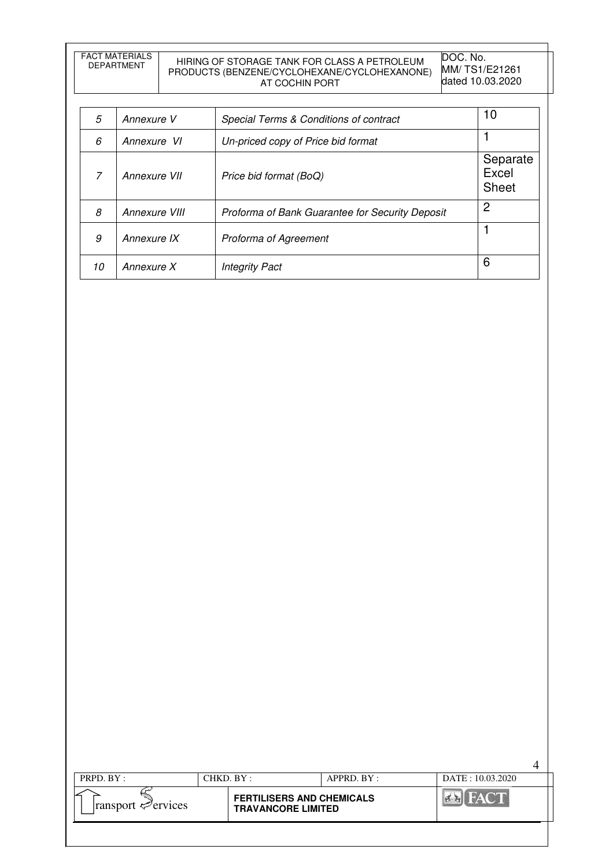FACT MATERIALS

# DEPARTMENT HIRING OF STORAGE TANK FOR CLASS A PETROLEUM PRODUCTS (BENZENE/CYCLOHEXANE/CYCLOHEXANONE) AT COCHIN PORT

DOC. No. MM/ TS1/E21261 dated 10.03.2020

| 5  | Annexure V    | Special Terms & Conditions of contract          | 10                                |
|----|---------------|-------------------------------------------------|-----------------------------------|
| 6  | Annexure VI   | Un-priced copy of Price bid format              |                                   |
| 7  | Annexure VII  | Price bid format (BoQ)                          | Separate<br>Excel<br><b>Sheet</b> |
| 8  | Annexure VIII | Proforma of Bank Guarantee for Security Deposit | 2                                 |
| 9  | Annexure IX   | Proforma of Agreement                           |                                   |
| 10 | Annexure X    | <b>Integrity Pact</b>                           | 6                                 |

| PRPD. BY:                               | CHKD. BY: |                                                               | APPRD. BY: | DATE: 10.03.2020 |  |
|-----------------------------------------|-----------|---------------------------------------------------------------|------------|------------------|--|
| $\lvert$ ransport $\mathcal{P}$ ervices |           | <b>FERTILISERS AND CHEMICALS</b><br><b>TRAVANCORE LIMITED</b> |            |                  |  |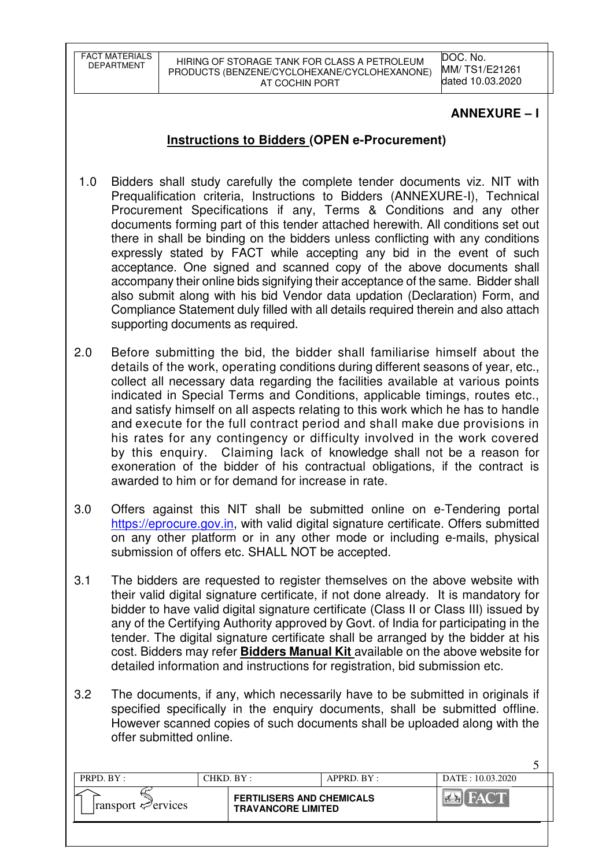FACT MATERIALS<br>DEPARTMENT

HIRING OF STORAGE TANK FOR CLASS A PETROLEUM PRODUCTS (BENZENE/CYCLOHEXANE/CYCLOHEXANONE) AT COCHIN PORT

DOC. No. MM/ TS1/E21261 dated 10.03.2020

# **ANNEXURE – I**

 $\leq$ 

# **Instructions to Bidders (OPEN e-Procurement)**

- 1.0 Bidders shall study carefully the complete tender documents viz. NIT with Prequalification criteria, Instructions to Bidders (ANNEXURE-I), Technical Procurement Specifications if any, Terms & Conditions and any other documents forming part of this tender attached herewith. All conditions set out there in shall be binding on the bidders unless conflicting with any conditions expressly stated by FACT while accepting any bid in the event of such acceptance. One signed and scanned copy of the above documents shall accompany their online bids signifying their acceptance of the same. Bidder shall also submit along with his bid Vendor data updation (Declaration) Form, and Compliance Statement duly filled with all details required therein and also attach supporting documents as required.
- 2.0 Before submitting the bid, the bidder shall familiarise himself about the details of the work, operating conditions during different seasons of year, etc., collect all necessary data regarding the facilities available at various points indicated in Special Terms and Conditions, applicable timings, routes etc., and satisfy himself on all aspects relating to this work which he has to handle and execute for the full contract period and shall make due provisions in his rates for any contingency or difficulty involved in the work covered by this enquiry. Claiming lack of knowledge shall not be a reason for exoneration of the bidder of his contractual obligations, if the contract is awarded to him or for demand for increase in rate.
- 3.0 Offers against this NIT shall be submitted online on e-Tendering portal https://eprocure.gov.in, with valid digital signature certificate. Offers submitted on any other platform or in any other mode or including e-mails, physical submission of offers etc. SHALL NOT be accepted.
- 3.1 The bidders are requested to register themselves on the above website with their valid digital signature certificate, if not done already. It is mandatory for bidder to have valid digital signature certificate (Class II or Class III) issued by any of the Certifying Authority approved by Govt. of India for participating in the tender. The digital signature certificate shall be arranged by the bidder at his cost. Bidders may refer **Bidders Manual Kit** available on the above website for detailed information and instructions for registration, bid submission etc.
- 3.2 The documents, if any, which necessarily have to be submitted in originals if specified specifically in the enquiry documents, shall be submitted offline. However scanned copies of such documents shall be uploaded along with the offer submitted online.

| PRPD. $BY:$                             | CHKD. BY: |                                                               | APPRD. BY: | DATE: 10.03.2020 |  |
|-----------------------------------------|-----------|---------------------------------------------------------------|------------|------------------|--|
| $\lvert$ ransport $\mathcal{P}$ ervices |           | <b>FERTILISERS AND CHEMICALS</b><br><b>TRAVANCORE LIMITED</b> |            |                  |  |
|                                         |           |                                                               |            |                  |  |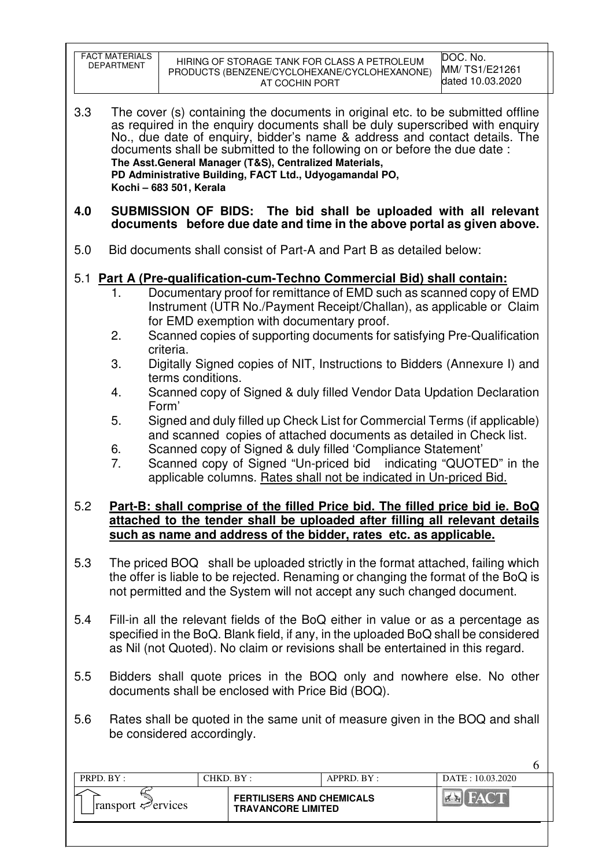| <b>FACT MATERIALS</b><br>DEPARTMENT                                                                                                                                                                                                                                                                                                                                                                                                                                                                                                 |                                                                                                                                                                                                                                                                                                                                                                                                                                                                            | AT COCHIN PORT                                                | HIRING OF STORAGE TANK FOR CLASS A PETROLEUM<br>PRODUCTS (BENZENE/CYCLOHEXANE/CYCLOHEXANONE)                                                                                                                                                                                                                                                                                                                                                                                                                                        | DOC. No.<br>MM/TS1/E21261<br>dated 10.03.2020 |  |  |  |  |  |
|-------------------------------------------------------------------------------------------------------------------------------------------------------------------------------------------------------------------------------------------------------------------------------------------------------------------------------------------------------------------------------------------------------------------------------------------------------------------------------------------------------------------------------------|----------------------------------------------------------------------------------------------------------------------------------------------------------------------------------------------------------------------------------------------------------------------------------------------------------------------------------------------------------------------------------------------------------------------------------------------------------------------------|---------------------------------------------------------------|-------------------------------------------------------------------------------------------------------------------------------------------------------------------------------------------------------------------------------------------------------------------------------------------------------------------------------------------------------------------------------------------------------------------------------------------------------------------------------------------------------------------------------------|-----------------------------------------------|--|--|--|--|--|
| 3.3                                                                                                                                                                                                                                                                                                                                                                                                                                                                                                                                 | The cover (s) containing the documents in original etc. to be submitted offline<br>as required in the enquiry documents shall be duly superscribed with enquiry<br>No., due date of enquiry, bidder's name & address and contact details. The<br>documents shall be submitted to the following on or before the due date:<br>The Asst. General Manager (T&S), Centralized Materials,<br>PD Administrative Building, FACT Ltd., Udyogamandal PO,<br>Kochi - 683 501, Kerala |                                                               |                                                                                                                                                                                                                                                                                                                                                                                                                                                                                                                                     |                                               |  |  |  |  |  |
| 4.0                                                                                                                                                                                                                                                                                                                                                                                                                                                                                                                                 |                                                                                                                                                                                                                                                                                                                                                                                                                                                                            |                                                               | SUBMISSION OF BIDS: The bid shall be uploaded with all relevant<br>documents before due date and time in the above portal as given above.                                                                                                                                                                                                                                                                                                                                                                                           |                                               |  |  |  |  |  |
| 5.0                                                                                                                                                                                                                                                                                                                                                                                                                                                                                                                                 |                                                                                                                                                                                                                                                                                                                                                                                                                                                                            |                                                               | Bid documents shall consist of Part-A and Part B as detailed below:                                                                                                                                                                                                                                                                                                                                                                                                                                                                 |                                               |  |  |  |  |  |
| 1.<br>2.<br>3.<br>4.<br>5.                                                                                                                                                                                                                                                                                                                                                                                                                                                                                                          | criteria.<br>terms conditions.<br>Form'                                                                                                                                                                                                                                                                                                                                                                                                                                    | for EMD exemption with documentary proof.                     | 5.1 Part A (Pre-qualification-cum-Techno Commercial Bid) shall contain:<br>Documentary proof for remittance of EMD such as scanned copy of EMD<br>Instrument (UTR No./Payment Receipt/Challan), as applicable or Claim<br>Scanned copies of supporting documents for satisfying Pre-Qualification<br>Digitally Signed copies of NIT, Instructions to Bidders (Annexure I) and<br>Scanned copy of Signed & duly filled Vendor Data Updation Declaration<br>Signed and duly filled up Check List for Commercial Terms (if applicable) |                                               |  |  |  |  |  |
| and scanned copies of attached documents as detailed in Check list.<br>Scanned copy of Signed & duly filled 'Compliance Statement'<br>6.<br>7.<br>Scanned copy of Signed "Un-priced bid indicating "QUOTED" in the<br>applicable columns. Rates shall not be indicated in Un-priced Bid.<br>Part-B: shall comprise of the filled Price bid. The filled price bid ie. BoQ<br>5.2<br>attached to the tender shall be uploaded after filling all relevant details<br>such as name and address of the bidder, rates etc. as applicable. |                                                                                                                                                                                                                                                                                                                                                                                                                                                                            |                                                               |                                                                                                                                                                                                                                                                                                                                                                                                                                                                                                                                     |                                               |  |  |  |  |  |
| 5.3<br>The priced BOQ shall be uploaded strictly in the format attached, failing which<br>the offer is liable to be rejected. Renaming or changing the format of the BoQ is<br>not permitted and the System will not accept any such changed document.                                                                                                                                                                                                                                                                              |                                                                                                                                                                                                                                                                                                                                                                                                                                                                            |                                                               |                                                                                                                                                                                                                                                                                                                                                                                                                                                                                                                                     |                                               |  |  |  |  |  |
| 5.4                                                                                                                                                                                                                                                                                                                                                                                                                                                                                                                                 | Fill-in all the relevant fields of the BoQ either in value or as a percentage as<br>specified in the BoQ. Blank field, if any, in the uploaded BoQ shall be considered<br>as Nil (not Quoted). No claim or revisions shall be entertained in this regard.                                                                                                                                                                                                                  |                                                               |                                                                                                                                                                                                                                                                                                                                                                                                                                                                                                                                     |                                               |  |  |  |  |  |
| 5.5                                                                                                                                                                                                                                                                                                                                                                                                                                                                                                                                 | Bidders shall quote prices in the BOQ only and nowhere else. No other<br>documents shall be enclosed with Price Bid (BOQ).                                                                                                                                                                                                                                                                                                                                                 |                                                               |                                                                                                                                                                                                                                                                                                                                                                                                                                                                                                                                     |                                               |  |  |  |  |  |
| 5.6<br>Rates shall be quoted in the same unit of measure given in the BOQ and shall<br>be considered accordingly.                                                                                                                                                                                                                                                                                                                                                                                                                   |                                                                                                                                                                                                                                                                                                                                                                                                                                                                            |                                                               |                                                                                                                                                                                                                                                                                                                                                                                                                                                                                                                                     |                                               |  |  |  |  |  |
| PRPD. BY:                                                                                                                                                                                                                                                                                                                                                                                                                                                                                                                           |                                                                                                                                                                                                                                                                                                                                                                                                                                                                            | CHKD. BY:                                                     | APPRD. BY :                                                                                                                                                                                                                                                                                                                                                                                                                                                                                                                         | 6<br>DATE: 10.03.2020                         |  |  |  |  |  |
| ransport evices                                                                                                                                                                                                                                                                                                                                                                                                                                                                                                                     |                                                                                                                                                                                                                                                                                                                                                                                                                                                                            | <b>FERTILISERS AND CHEMICALS</b><br><b>TRAVANCORE LIMITED</b> |                                                                                                                                                                                                                                                                                                                                                                                                                                                                                                                                     | <b>EN FACT</b>                                |  |  |  |  |  |

 $\overline{\mathsf{I}}$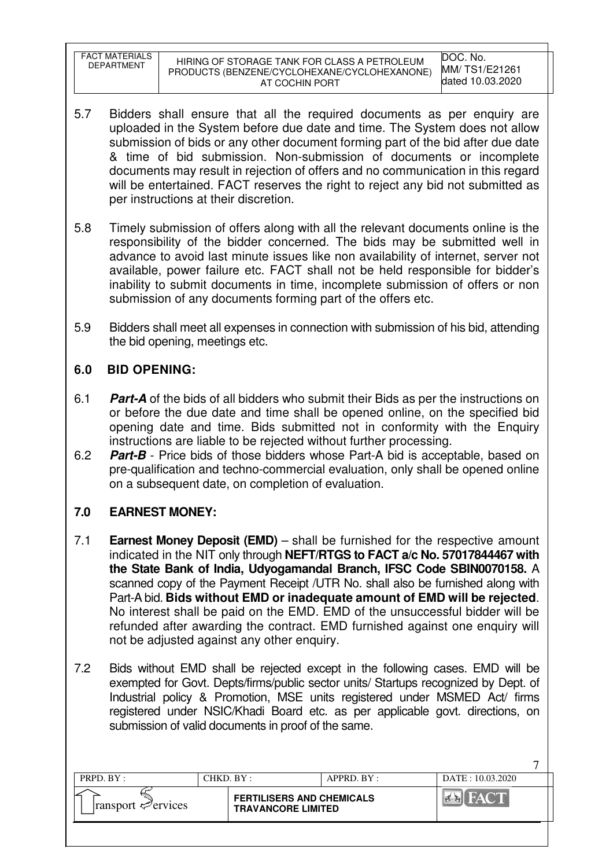| FACT MATERIALS<br><b>DEPARTMENT</b> | HIRING OF STORAGE TANK FOR CLASS A PETROLEUM<br>PRODUCTS (BENZENE/CYCLOHEXANE/CYCLOHEXANONE)<br>AT COCHIN PORT | DOC. No.<br>MM/TS1/E21261<br>dated 10.03.2020 |
|-------------------------------------|----------------------------------------------------------------------------------------------------------------|-----------------------------------------------|
|                                     |                                                                                                                |                                               |

- 5.7 Bidders shall ensure that all the required documents as per enquiry are uploaded in the System before due date and time. The System does not allow submission of bids or any other document forming part of the bid after due date & time of bid submission. Non-submission of documents or incomplete documents may result in rejection of offers and no communication in this regard will be entertained. FACT reserves the right to reject any bid not submitted as per instructions at their discretion.
- 5.8 Timely submission of offers along with all the relevant documents online is the responsibility of the bidder concerned. The bids may be submitted well in advance to avoid last minute issues like non availability of internet, server not available, power failure etc. FACT shall not be held responsible for bidder's inability to submit documents in time, incomplete submission of offers or non submission of any documents forming part of the offers etc.
- 5.9 Bidders shall meet all expenses in connection with submission of his bid, attending the bid opening, meetings etc.

# **6.0 BID OPENING:**

- 6.1 **Part-A** of the bids of all bidders who submit their Bids as per the instructions on or before the due date and time shall be opened online, on the specified bid opening date and time. Bids submitted not in conformity with the Enquiry instructions are liable to be rejected without further processing.
- 6.2 **Part-B** Price bids of those bidders whose Part-A bid is acceptable, based on pre-qualification and techno-commercial evaluation, only shall be opened online on a subsequent date, on completion of evaluation.

# **7.0 EARNEST MONEY:**

- 7.1 **Earnest Money Deposit (EMD)** shall be furnished for the respective amount indicated in the NIT only through **NEFT/RTGS to FACT a/c No. 57017844467 with the State Bank of India, Udyogamandal Branch, IFSC Code SBIN0070158.** A scanned copy of the Payment Receipt /UTR No. shall also be furnished along with Part-A bid. **Bids without EMD or inadequate amount of EMD will be rejected**. No interest shall be paid on the EMD. EMD of the unsuccessful bidder will be refunded after awarding the contract. EMD furnished against one enquiry will not be adjusted against any other enquiry.
- 7.2 Bids without EMD shall be rejected except in the following cases. EMD will be exempted for Govt. Depts/firms/public sector units/ Startups recognized by Dept. of Industrial policy & Promotion, MSE units registered under MSMED Act/ firms registered under NSIC/Khadi Board etc. as per applicable govt. directions, on submission of valid documents in proof of the same.

| PRPD. BY:                               | $CHKD$ $BY$ : |                                                               | $APPRD$ $BY$ : | DATE: 10.03.2020 |
|-----------------------------------------|---------------|---------------------------------------------------------------|----------------|------------------|
| $\lvert$ ransport $\mathcal{P}$ ervices |               | <b>FERTILISERS AND CHEMICALS</b><br><b>TRAVANCORE LIMITED</b> |                |                  |
|                                         |               |                                                               |                |                  |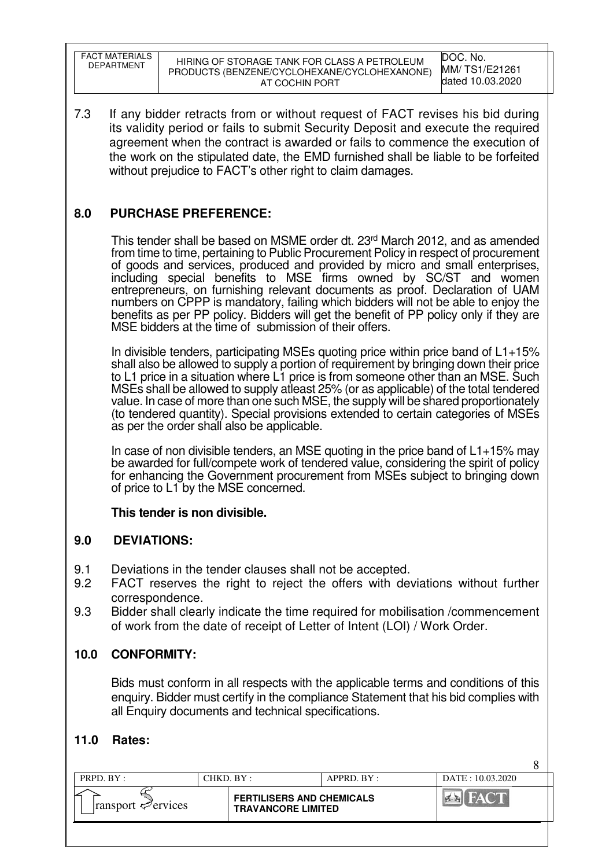| <b>FACT MATERIALS</b><br><b>DEPARTMENT</b> | HIRING OF STORAGE TANK FOR CLASS A PETROLEUM<br>PRODUCTS (BENZENE/CYCLOHEXANE/CYCLOHEXANONE)<br>AT COCHIN PORT | DOC. No.<br>MM/TS1/E21261<br>dated 10.03.2020 |
|--------------------------------------------|----------------------------------------------------------------------------------------------------------------|-----------------------------------------------|
|--------------------------------------------|----------------------------------------------------------------------------------------------------------------|-----------------------------------------------|

7.3 If any bidder retracts from or without request of FACT revises his bid during its validity period or fails to submit Security Deposit and execute the required agreement when the contract is awarded or fails to commence the execution of the work on the stipulated date, the EMD furnished shall be liable to be forfeited without prejudice to FACT's other right to claim damages.

# **8.0 PURCHASE PREFERENCE:**

This tender shall be based on MSME order dt. 23rd March 2012, and as amended from time to time, pertaining to Public Procurement Policy in respect of procurement of goods and services, produced and provided by micro and small enterprises, including special benefits to MSE firms owned by SC/ST and women entrepreneurs, on furnishing relevant documents as proof. Declaration of UAM numbers on CPPP is mandatory, failing which bidders will not be able to enjoy the benefits as per PP policy. Bidders will get the benefit of PP policy only if they are MSE bidders at the time of submission of their offers.

In divisible tenders, participating MSEs quoting price within price band of L1+15% shall also be allowed to supply a portion of requirement by bringing down their price to L1 price in a situation where L1 price is from someone other than an MSE. Such MSEs shall be allowed to supply atleast 25% (or as applicable) of the total tendered value. In case of more than one such MSE, the supply will be shared proportionately (to tendered quantity). Special provisions extended to certain categories of MSEs as per the order shall also be applicable.

In case of non divisible tenders, an MSE quoting in the price band of L1+15% may be awarded for full/compete work of tendered value, considering the spirit of policy for enhancing the Government procurement from MSEs subject to bringing down of price to L1 by the MSE concerned.

# **This tender is non divisible.**

# **9.0 DEVIATIONS:**

- 9.1 Deviations in the tender clauses shall not be accepted.
- 9.2 FACT reserves the right to reject the offers with deviations without further correspondence.
- 9.3 Bidder shall clearly indicate the time required for mobilisation /commencement of work from the date of receipt of Letter of Intent (LOI) / Work Order.

# **10.0 CONFORMITY:**

Bids must conform in all respects with the applicable terms and conditions of this enquiry. Bidder must certify in the compliance Statement that his bid complies with all Enquiry documents and technical specifications.

8

# **11.0 Rates:**

| PRPD. BY:                               | CHKD. BY: |                                                               | APPRD. BY: | DATE: 10.03.2020 |  |
|-----------------------------------------|-----------|---------------------------------------------------------------|------------|------------------|--|
| $\lvert$ ransport $\mathcal{P}$ ervices |           | <b>FERTILISERS AND CHEMICALS</b><br><b>TRAVANCORE LIMITED</b> |            |                  |  |
|                                         |           |                                                               |            |                  |  |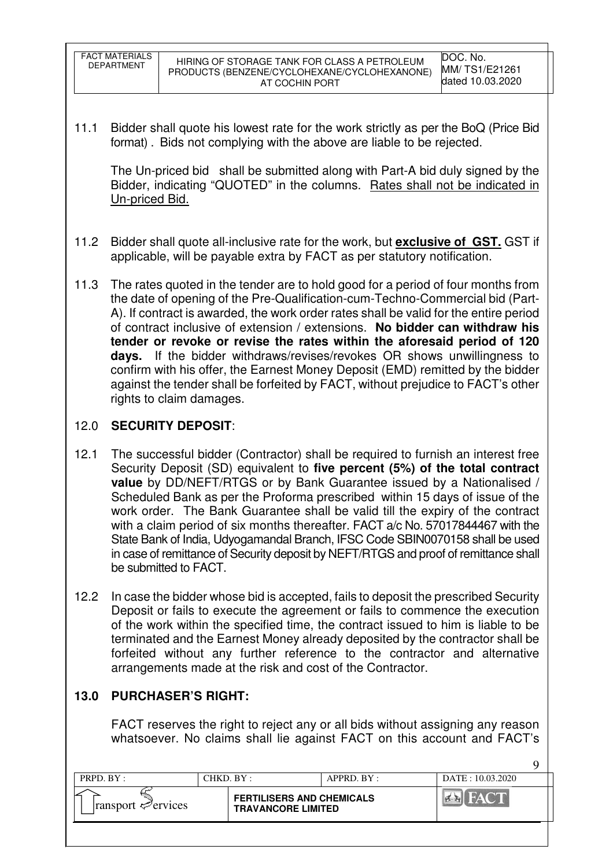| FACT MATERIALS<br>DEPARTMENT | HIRING OF STORAGE TANK FOR CLASS A PETROLEUM<br>PRODUCTS (BENZENE/CYCLOHEXANE/CYCLOHEXANONE)<br>AT COCHIN PORT | DOC. No.<br>MM/TS1/E21261<br>dated 10.03.2020 |
|------------------------------|----------------------------------------------------------------------------------------------------------------|-----------------------------------------------|
|------------------------------|----------------------------------------------------------------------------------------------------------------|-----------------------------------------------|

11.1 Bidder shall quote his lowest rate for the work strictly as per the BoQ (Price Bid format) . Bids not complying with the above are liable to be rejected.

The Un-priced bid shall be submitted along with Part-A bid duly signed by the Bidder, indicating "QUOTED" in the columns. Rates shall not be indicated in Un-priced Bid.

- 11.2 Bidder shall quote all-inclusive rate for the work, but **exclusive of GST.** GST if applicable, will be payable extra by FACT as per statutory notification.
- 11.3 The rates quoted in the tender are to hold good for a period of four months from the date of opening of the Pre-Qualification-cum-Techno-Commercial bid (Part-A). If contract is awarded, the work order rates shall be valid for the entire period of contract inclusive of extension / extensions. **No bidder can withdraw his tender or revoke or revise the rates within the aforesaid period of 120 days.** If the bidder withdraws/revises/revokes OR shows unwillingness to confirm with his offer, the Earnest Money Deposit (EMD) remitted by the bidder against the tender shall be forfeited by FACT, without prejudice to FACT's other rights to claim damages.

# 12.0 **SECURITY DEPOSIT**:

- 12.1 The successful bidder (Contractor) shall be required to furnish an interest free Security Deposit (SD) equivalent to **five percent (5%) of the total contract value** by DD/NEFT/RTGS or by Bank Guarantee issued by a Nationalised / Scheduled Bank as per the Proforma prescribed within 15 days of issue of the work order. The Bank Guarantee shall be valid till the expiry of the contract with a claim period of six months thereafter. FACT a/c No. 57017844467 with the State Bank of India, Udyogamandal Branch, IFSC Code SBIN0070158 shall be used in case of remittance of Security deposit by NEFT/RTGS and proof of remittance shall be submitted to FACT.
- 12.2 In case the bidder whose bid is accepted, fails to deposit the prescribed Security Deposit or fails to execute the agreement or fails to commence the execution of the work within the specified time, the contract issued to him is liable to be terminated and the Earnest Money already deposited by the contractor shall be forfeited without any further reference to the contractor and alternative arrangements made at the risk and cost of the Contractor.

# **13.0 PURCHASER'S RIGHT:**

 FACT reserves the right to reject any or all bids without assigning any reason whatsoever. No claims shall lie against FACT on this account and FACT's

| PRPD. BY:                               | $CHKD$ . $BY$ . |                                                               | $APPRD$ $BY:$ | DATE: 10.03.2020                            |
|-----------------------------------------|-----------------|---------------------------------------------------------------|---------------|---------------------------------------------|
| $\lvert$ ransport $\mathcal{P}$ ervices |                 | <b>FERTILISERS AND CHEMICALS</b><br><b>TRAVANCORE LIMITED</b> |               | <b>EXTREMELY AND RESPONSIVE DESCRIPTION</b> |
|                                         |                 |                                                               |               |                                             |

 $\overline{Q}$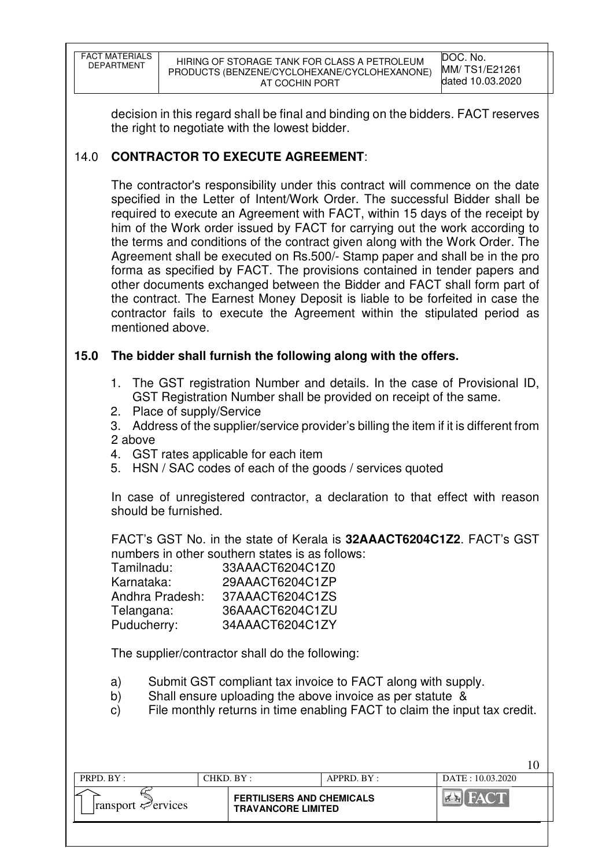| FACT MATERIALS<br>DEPARTMENT | HIRING OF STORAGE TANK FOR CLASS A PETROLEUM<br>PRODUCTS (BENZENE/CYCLOHEXANE/CYCLOHEXANONE)<br>AT COCHIN PORT | DOC. No.<br>MM/TS1/E21261<br>dated 10.03.2020 |
|------------------------------|----------------------------------------------------------------------------------------------------------------|-----------------------------------------------|
|------------------------------|----------------------------------------------------------------------------------------------------------------|-----------------------------------------------|

decision in this regard shall be final and binding on the bidders. FACT reserves the right to negotiate with the lowest bidder.

# 14.0 **CONTRACTOR TO EXECUTE AGREEMENT**:

 The contractor's responsibility under this contract will commence on the date specified in the Letter of Intent/Work Order. The successful Bidder shall be required to execute an Agreement with FACT, within 15 days of the receipt by him of the Work order issued by FACT for carrying out the work according to the terms and conditions of the contract given along with the Work Order. The Agreement shall be executed on Rs.500/- Stamp paper and shall be in the pro forma as specified by FACT. The provisions contained in tender papers and other documents exchanged between the Bidder and FACT shall form part of the contract. The Earnest Money Deposit is liable to be forfeited in case the contractor fails to execute the Agreement within the stipulated period as mentioned above.

# **15.0 The bidder shall furnish the following along with the offers.**

- 1. The GST registration Number and details. In the case of Provisional ID, GST Registration Number shall be provided on receipt of the same.
- 2. Place of supply/Service
- 3. Address of the supplier/service provider's billing the item if it is different from 2 above
- 4. GST rates applicable for each item
- 5. HSN / SAC codes of each of the goods / services quoted

In case of unregistered contractor, a declaration to that effect with reason should be furnished.

FACT's GST No. in the state of Kerala is **32AAACT6204C1Z2**. FACT's GST numbers in other southern states is as follows:

| 33AAACT6204C1Z0 |
|-----------------|
| 29AAACT6204C1ZP |
| 37AAACT6204C1ZS |
| 36AAACT6204C1ZU |
| 34AAACT6204C1ZY |
|                 |

The supplier/contractor shall do the following:

- a) Submit GST compliant tax invoice to FACT along with supply.
- b) Shall ensure uploading the above invoice as per statute &
- c) File monthly returns in time enabling FACT to claim the input tax credit.

 $10^{-7}$ 

| PRPD. BY:                               | CHKD. BY : |                                                               | $APPRD$ . $BY$ : | DATE: 10.03.2020 |  |
|-----------------------------------------|------------|---------------------------------------------------------------|------------------|------------------|--|
| $\lvert$ ransport $\mathcal{P}$ ervices |            | <b>FERTILISERS AND CHEMICALS</b><br><b>TRAVANCORE LIMITED</b> |                  |                  |  |
|                                         |            |                                                               |                  |                  |  |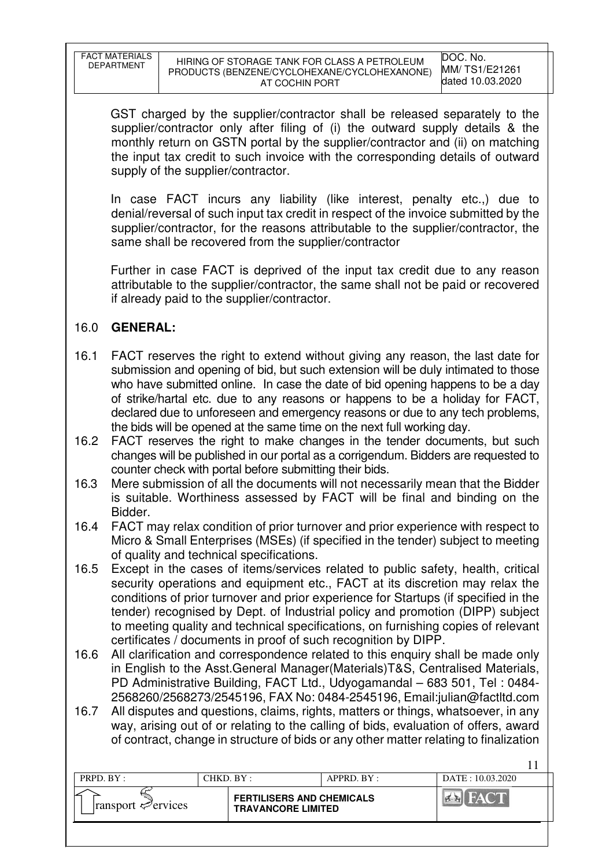| FACT MATERIALS    | HIRING OF STO         |
|-------------------|-----------------------|
| <b>DEPARTMENT</b> | <b>PRODUCTS (BEN)</b> |

GST charged by the supplier/contractor shall be released separately to the supplier/contractor only after filing of (i) the outward supply details & the monthly return on GSTN portal by the supplier/contractor and (ii) on matching the input tax credit to such invoice with the corresponding details of outward supply of the supplier/contractor.

In case FACT incurs any liability (like interest, penalty etc.,) due to denial/reversal of such input tax credit in respect of the invoice submitted by the supplier/contractor, for the reasons attributable to the supplier/contractor, the same shall be recovered from the supplier/contractor

Further in case FACT is deprived of the input tax credit due to any reason attributable to the supplier/contractor, the same shall not be paid or recovered if already paid to the supplier/contractor.

# 16.0 **GENERAL:**

- 16.1 FACT reserves the right to extend without giving any reason, the last date for submission and opening of bid, but such extension will be duly intimated to those who have submitted online. In case the date of bid opening happens to be a day of strike/hartal etc. due to any reasons or happens to be a holiday for FACT, declared due to unforeseen and emergency reasons or due to any tech problems, the bids will be opened at the same time on the next full working day.
- 16.2 FACT reserves the right to make changes in the tender documents, but such changes will be published in our portal as a corrigendum. Bidders are requested to counter check with portal before submitting their bids.
- 16.3 Mere submission of all the documents will not necessarily mean that the Bidder is suitable. Worthiness assessed by FACT will be final and binding on the Bidder.
- 16.4 FACT may relax condition of prior turnover and prior experience with respect to Micro & Small Enterprises (MSEs) (if specified in the tender) subject to meeting of quality and technical specifications.
- 16.5 Except in the cases of items/services related to public safety, health, critical security operations and equipment etc., FACT at its discretion may relax the conditions of prior turnover and prior experience for Startups (if specified in the tender) recognised by Dept. of Industrial policy and promotion (DIPP) subject to meeting quality and technical specifications, on furnishing copies of relevant certificates / documents in proof of such recognition by DIPP.
- 16.6 All clarification and correspondence related to this enquiry shall be made only in English to the Asst.General Manager(Materials)T&S, Centralised Materials, PD Administrative Building, FACT Ltd., Udyogamandal – 683 501, Tel : 0484- 2568260/2568273/2545196, FAX No: 0484-2545196, Email:julian@factltd.com
- 16.7 All disputes and questions, claims, rights, matters or things, whatsoever, in any way, arising out of or relating to the calling of bids, evaluation of offers, award of contract, change in structure of bids or any other matter relating to finalization

| <b>FERTILISERS AND CHEMICALS</b><br>$\lvert$ ransport $\mathcal{P}$ ervices<br><b>TRAVANCORE LIMITED</b> | PRPD. $BY:$ | CHKD. BY: | $APPRD$ $BY:$ | DATE: 10.03.2020 |
|----------------------------------------------------------------------------------------------------------|-------------|-----------|---------------|------------------|
|                                                                                                          |             |           |               |                  |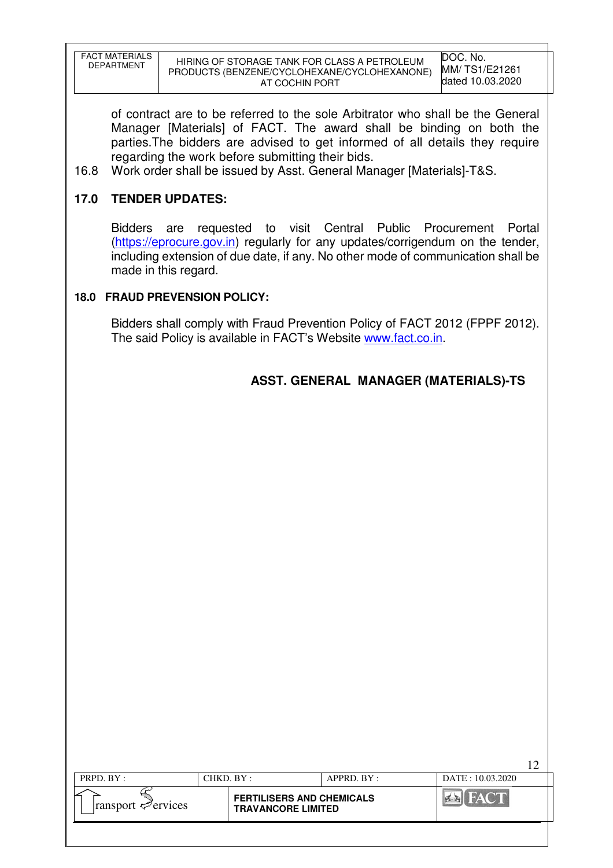| <b>FACT MATERIALS</b><br>DEPARTMENT | HIRING OF STORAGE TANK FOR CLASS A PETROLEUM<br>PRODUCTS (BENZENE/CYCLOHEXANE/CYCLOHEXANONE)<br>AT COCHIN PORT | DOC. No.<br>MM/ TS1/E21261<br>dated 10.03.2020 |
|-------------------------------------|----------------------------------------------------------------------------------------------------------------|------------------------------------------------|

of contract are to be referred to the sole Arbitrator who shall be the General Manager [Materials] of FACT. The award shall be binding on both the parties.The bidders are advised to get informed of all details they require regarding the work before submitting their bids.

16.8 Work order shall be issued by Asst. General Manager [Materials]-T&S.

# **17.0 TENDER UPDATES:**

Bidders are requested to visit Central Public Procurement Portal (https://eprocure.gov.in) regularly for any updates/corrigendum on the tender, including extension of due date, if any. No other mode of communication shall be made in this regard.

### **18.0 FRAUD PREVENSION POLICY:**

Bidders shall comply with Fraud Prevention Policy of FACT 2012 (FPPF 2012). The said Policy is available in FACT's Website www.fact.co.in.

# **ASST. GENERAL MANAGER (MATERIALS)-TS**

 $12<sub>2</sub>$ 

| PRPD. $BY:$<br>CHKD. BY :<br>$APPRD$ $BY$ :<br>DATE: 10.03.2020<br><b>FERTILISERS AND CHEMICALS</b> |  |  |  |
|-----------------------------------------------------------------------------------------------------|--|--|--|
|                                                                                                     |  |  |  |
| $\lvert$ ransport $\mathcal{P}$ ervices<br><b>TRAVANCORE LIMITED</b>                                |  |  |  |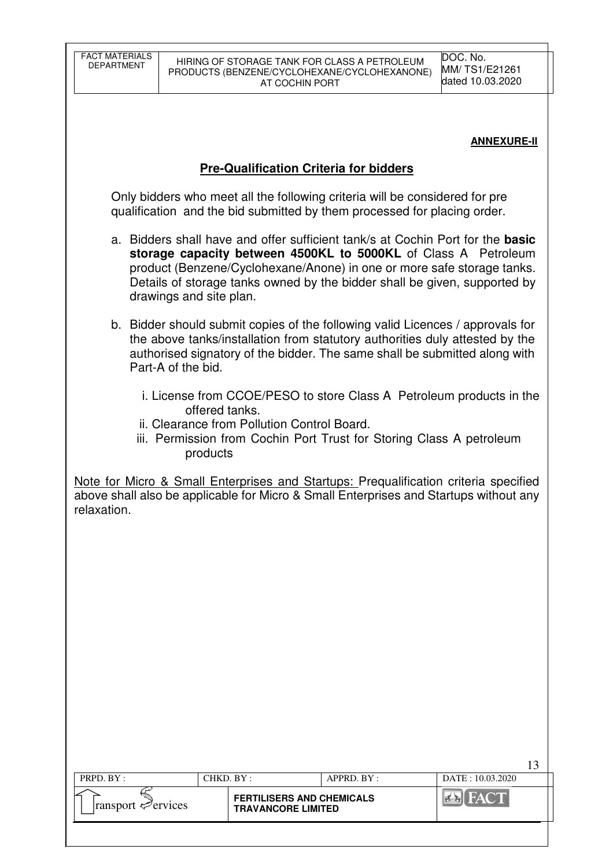### **ANNEXURE-II**

13

## **Pre-Qualification Criteria for bidders**

 Only bidders who meet all the following criteria will be considered for pre qualification and the bid submitted by them processed for placing order.

- a. Bidders shall have and offer sufficient tank/s at Cochin Port for the **basic storage capacity between 4500KL to 5000KL** of Class A Petroleum product (Benzene/Cyclohexane/Anone) in one or more safe storage tanks. Details of storage tanks owned by the bidder shall be given, supported by drawings and site plan.
- b. Bidder should submit copies of the following valid Licences / approvals for the above tanks/installation from statutory authorities duly attested by the authorised signatory of the bidder. The same shall be submitted along with Part-A of the bid.
	- i. License from CCOE/PESO to store Class A Petroleum products in the offered tanks.
	- ii. Clearance from Pollution Control Board.
	- iii. Permission from Cochin Port Trust for Storing Class A petroleum products

Note for Micro & Small Enterprises and Startups: Prequalification criteria specified above shall also be applicable for Micro & Small Enterprises and Startups without any relaxation.

| PRPD. BY:                                                                                                                                    | CHKD. BY : |                                                               | APPRD. BY: | DATE: 10.03.2020 |
|----------------------------------------------------------------------------------------------------------------------------------------------|------------|---------------------------------------------------------------|------------|------------------|
| ransport <properties< th=""><td></td><td><b>FERTILISERS AND CHEMICALS</b><br/><b>TRAVANCORE LIMITED</b></td><td></td><td></td></properties<> |            | <b>FERTILISERS AND CHEMICALS</b><br><b>TRAVANCORE LIMITED</b> |            |                  |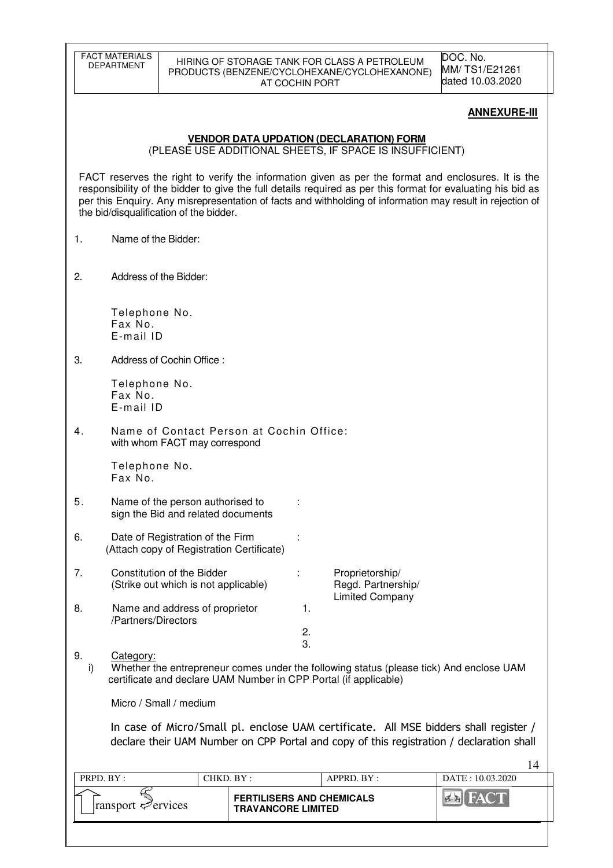| <b>FACT MATERIALS</b><br><b>DEPARTMENT</b>                                                                                                                                                                                                                                                                                                                                  |                                                                               | AT COCHIN PORT                                | HIRING OF STORAGE TANK FOR CLASS A PETROLEUM<br>PRODUCTS (BENZENE/CYCLOHEXANE/CYCLOHEXANONE) | DOC. No.<br>MM/TS1/E21261<br>dated 10.03.2020  |  |  |  |  |
|-----------------------------------------------------------------------------------------------------------------------------------------------------------------------------------------------------------------------------------------------------------------------------------------------------------------------------------------------------------------------------|-------------------------------------------------------------------------------|-----------------------------------------------|----------------------------------------------------------------------------------------------|------------------------------------------------|--|--|--|--|
|                                                                                                                                                                                                                                                                                                                                                                             |                                                                               |                                               |                                                                                              | <b>ANNEXURE-III</b>                            |  |  |  |  |
| <b>VENDOR DATA UPDATION (DECLARATION) FORM</b><br>(PLEASE USE ADDITIONAL SHEETS, IF SPACE IS INSUFFICIENT)                                                                                                                                                                                                                                                                  |                                                                               |                                               |                                                                                              |                                                |  |  |  |  |
| FACT reserves the right to verify the information given as per the format and enclosures. It is the<br>responsibility of the bidder to give the full details required as per this format for evaluating his bid as<br>per this Enquiry. Any misrepresentation of facts and withholding of information may result in rejection of<br>the bid/disqualification of the bidder. |                                                                               |                                               |                                                                                              |                                                |  |  |  |  |
| Name of the Bidder:<br>1.                                                                                                                                                                                                                                                                                                                                                   |                                                                               |                                               |                                                                                              |                                                |  |  |  |  |
| 2.                                                                                                                                                                                                                                                                                                                                                                          | Address of the Bidder:                                                        |                                               |                                                                                              |                                                |  |  |  |  |
| Telephone No.<br>Fax No.<br>E-mail ID                                                                                                                                                                                                                                                                                                                                       |                                                                               |                                               |                                                                                              |                                                |  |  |  |  |
| З.                                                                                                                                                                                                                                                                                                                                                                          | Address of Cochin Office:                                                     |                                               |                                                                                              |                                                |  |  |  |  |
| Telephone No.<br>Fax No.<br>E-mail ID                                                                                                                                                                                                                                                                                                                                       |                                                                               |                                               |                                                                                              |                                                |  |  |  |  |
| 4.                                                                                                                                                                                                                                                                                                                                                                          | with whom FACT may correspond                                                 | Name of Contact Person at Cochin Office:      |                                                                                              |                                                |  |  |  |  |
| Telephone No.<br>Fax No.                                                                                                                                                                                                                                                                                                                                                    |                                                                               |                                               |                                                                                              |                                                |  |  |  |  |
| 5.                                                                                                                                                                                                                                                                                                                                                                          | Name of the person authorised to<br>sign the Bid and related documents        |                                               |                                                                                              |                                                |  |  |  |  |
| 6.                                                                                                                                                                                                                                                                                                                                                                          | Date of Registration of the Firm<br>(Attach copy of Registration Certificate) |                                               |                                                                                              |                                                |  |  |  |  |
| 7.                                                                                                                                                                                                                                                                                                                                                                          | Constitution of the Bidder<br>(Strike out which is not applicable)            |                                               | Proprietorship/<br>Regd. Partnership/                                                        |                                                |  |  |  |  |
| 8.<br>/Partners/Directors                                                                                                                                                                                                                                                                                                                                                   | Name and address of proprietor                                                | 1.                                            | <b>Limited Company</b>                                                                       |                                                |  |  |  |  |
|                                                                                                                                                                                                                                                                                                                                                                             |                                                                               | 2.<br>3.                                      |                                                                                              |                                                |  |  |  |  |
| 9.<br>Category:<br>Whether the entrepreneur comes under the following status (please tick) And enclose UAM<br>i)<br>certificate and declare UAM Number in CPP Portal (if applicable)                                                                                                                                                                                        |                                                                               |                                               |                                                                                              |                                                |  |  |  |  |
| Micro / Small / medium                                                                                                                                                                                                                                                                                                                                                      |                                                                               |                                               |                                                                                              |                                                |  |  |  |  |
| In case of Micro/Small pl. enclose UAM certificate. All MSE bidders shall register /<br>declare their UAM Number on CPP Portal and copy of this registration / declaration shall                                                                                                                                                                                            |                                                                               |                                               |                                                                                              |                                                |  |  |  |  |
|                                                                                                                                                                                                                                                                                                                                                                             |                                                                               |                                               |                                                                                              | 14                                             |  |  |  |  |
| PRPD. BY:                                                                                                                                                                                                                                                                                                                                                                   |                                                                               | CHKD. BY:<br><b>FERTILISERS AND CHEMICALS</b> | APPRD. BY:                                                                                   | DATE: 10.03.2020<br>FAC <sup>®</sup><br>$\leq$ |  |  |  |  |
| ransport evices                                                                                                                                                                                                                                                                                                                                                             |                                                                               | <b>TRAVANCORE LIMITED</b>                     |                                                                                              |                                                |  |  |  |  |
|                                                                                                                                                                                                                                                                                                                                                                             |                                                                               |                                               |                                                                                              |                                                |  |  |  |  |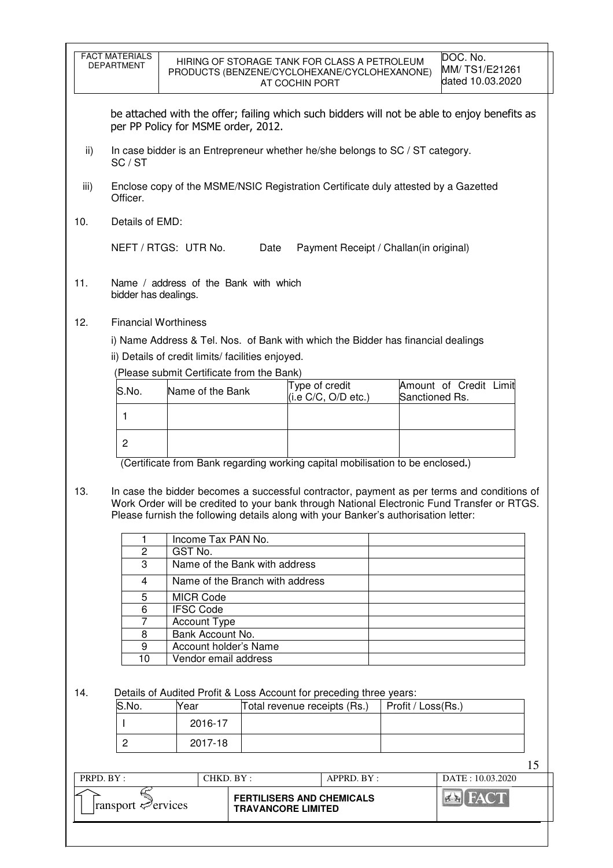|      | <b>FACT MATERIALS</b><br><b>DEPARTMENT</b> |                                                                                                                              | HIRING OF STORAGE TANK FOR CLASS A PETROLEUM<br>PRODUCTS (BENZENE/CYCLOHEXANE/CYCLOHEXANONE)<br>AT COCHIN PORT                                                                                                                                                                   |                    | DOC. No.<br>MM/TS1/E21261<br>dated 10.03.2020 |  |  |
|------|--------------------------------------------|------------------------------------------------------------------------------------------------------------------------------|----------------------------------------------------------------------------------------------------------------------------------------------------------------------------------------------------------------------------------------------------------------------------------|--------------------|-----------------------------------------------|--|--|
|      |                                            | per PP Policy for MSME order, 2012.                                                                                          | be attached with the offer; failing which such bidders will not be able to enjoy benefits as                                                                                                                                                                                     |                    |                                               |  |  |
| ii)  | SC / ST                                    |                                                                                                                              | In case bidder is an Entrepreneur whether he/she belongs to SC / ST category.                                                                                                                                                                                                    |                    |                                               |  |  |
| iii) | Officer.                                   | Enclose copy of the MSME/NSIC Registration Certificate duly attested by a Gazetted                                           |                                                                                                                                                                                                                                                                                  |                    |                                               |  |  |
| 10.  | Details of EMD:                            |                                                                                                                              |                                                                                                                                                                                                                                                                                  |                    |                                               |  |  |
|      |                                            | NEFT / RTGS: UTR No.                                                                                                         | Date<br>Payment Receipt / Challan(in original)                                                                                                                                                                                                                                   |                    |                                               |  |  |
| 11.  | bidder has dealings.                       | Name / address of the Bank with which                                                                                        |                                                                                                                                                                                                                                                                                  |                    |                                               |  |  |
| 12.  |                                            | <b>Financial Worthiness</b><br>ii) Details of credit limits/facilities enjoyed.<br>(Please submit Certificate from the Bank) | i) Name Address & Tel. Nos. of Bank with which the Bidder has financial dealings                                                                                                                                                                                                 |                    |                                               |  |  |
|      | S.No.                                      | Name of the Bank                                                                                                             | Type of credit<br>(i.e C/C, O/D etc.)                                                                                                                                                                                                                                            | Sanctioned Rs.     | Amount of Credit Limit                        |  |  |
|      | 1                                          |                                                                                                                              |                                                                                                                                                                                                                                                                                  |                    |                                               |  |  |
|      | $\overline{2}$                             |                                                                                                                              |                                                                                                                                                                                                                                                                                  |                    |                                               |  |  |
|      |                                            |                                                                                                                              | (Certificate from Bank regarding working capital mobilisation to be enclosed.)                                                                                                                                                                                                   |                    |                                               |  |  |
| 13.  |                                            |                                                                                                                              | In case the bidder becomes a successful contractor, payment as per terms and conditions of<br>Work Order will be credited to your bank through National Electronic Fund Transfer or RTGS.<br>Please furnish the following details along with your Banker's authorisation letter: |                    |                                               |  |  |
|      |                                            | Income Tax PAN No.<br>GST No.                                                                                                |                                                                                                                                                                                                                                                                                  |                    |                                               |  |  |
|      | 2<br>3                                     | Name of the Bank with address                                                                                                |                                                                                                                                                                                                                                                                                  |                    |                                               |  |  |
|      | 4                                          | Name of the Branch with address                                                                                              |                                                                                                                                                                                                                                                                                  |                    |                                               |  |  |
|      | 5<br>6                                     | <b>MICR Code</b><br><b>IFSC Code</b>                                                                                         |                                                                                                                                                                                                                                                                                  |                    |                                               |  |  |
|      | $\overline{7}$                             | <b>Account Type</b><br>Bank Account No.                                                                                      |                                                                                                                                                                                                                                                                                  |                    |                                               |  |  |
|      | 8<br>9                                     |                                                                                                                              |                                                                                                                                                                                                                                                                                  |                    |                                               |  |  |
|      | 10                                         | Account holder's Name<br>Vendor email address                                                                                |                                                                                                                                                                                                                                                                                  |                    |                                               |  |  |
| 14.  |                                            |                                                                                                                              | Details of Audited Profit & Loss Account for preceding three years:                                                                                                                                                                                                              |                    |                                               |  |  |
|      | S.No.                                      | Year                                                                                                                         | Total revenue receipts (Rs.)                                                                                                                                                                                                                                                     | Profit / Loss(Rs.) |                                               |  |  |
|      |                                            | 2016-17                                                                                                                      |                                                                                                                                                                                                                                                                                  |                    |                                               |  |  |
|      | $\overline{c}$                             | 2017-18                                                                                                                      |                                                                                                                                                                                                                                                                                  |                    |                                               |  |  |
|      | PRPD. BY:                                  | CHKD. BY:                                                                                                                    | APPRD. BY:                                                                                                                                                                                                                                                                       |                    | 15<br>DATE: 10.03.2020                        |  |  |
|      |                                            |                                                                                                                              |                                                                                                                                                                                                                                                                                  |                    |                                               |  |  |
|      | ransport evices                            |                                                                                                                              | <b>FERTILISERS AND CHEMICALS</b><br><b>TRAVANCORE LIMITED</b>                                                                                                                                                                                                                    |                    | <b>EN FACT</b>                                |  |  |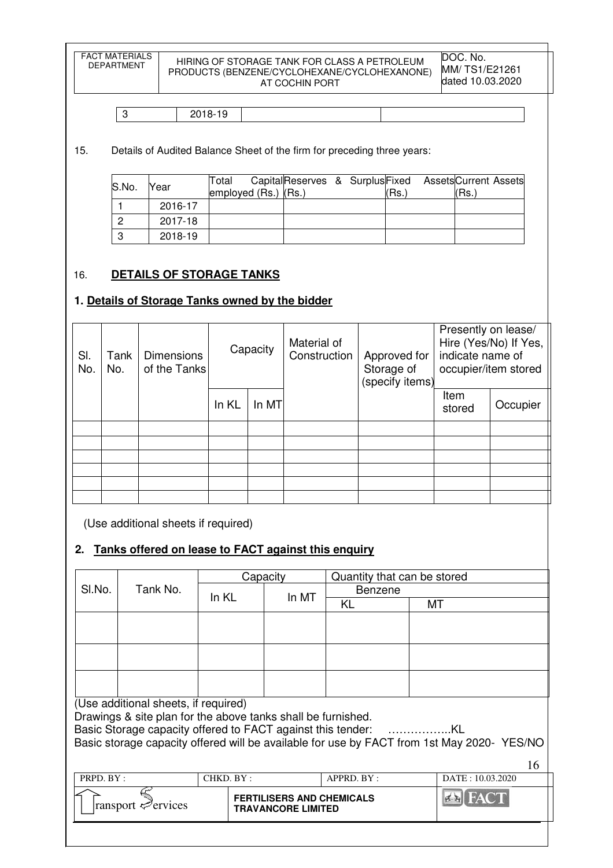FACT MATERIALS<br>DEPARTMENT HIRING OF STORAGE TANK FOR CLASS A PETROLEUM PRODUCTS (BENZENE/CYCLOHEXANE/CYCLOHEXANONE) AT COCHIN PORT DOC. No.

|  | $\overline{\phantom{a}}$<br>$\sim$<br>C |  |  |
|--|-----------------------------------------|--|--|
|--|-----------------------------------------|--|--|

15. Details of Audited Balance Sheet of the firm for preceding three years:

| S.No. | Year    | Total<br>employed $(Rs.)$ $(Rs.)$ | CapitalReserves & SurplusFixed AssetsCurrent Assets |  | (Rs.` | l(Rs.` |  |
|-------|---------|-----------------------------------|-----------------------------------------------------|--|-------|--------|--|
|       | 2016-17 |                                   |                                                     |  |       |        |  |
|       | 2017-18 |                                   |                                                     |  |       |        |  |
|       | 2018-19 |                                   |                                                     |  |       |        |  |

# 16. **DETAILS OF STORAGE TANKS**

### **1. Details of Storage Tanks owned by the bidder**

| SI.<br>No. | Tank<br>No. | <b>Dimensions</b><br>of the Tanks | Capacity |       | Material of<br>Construction | Approved for<br>Storage of<br>(specify items) | Presently on lease/<br>Hire (Yes/No) If Yes,<br>indicate name of<br>occupier/item stored |          |
|------------|-------------|-----------------------------------|----------|-------|-----------------------------|-----------------------------------------------|------------------------------------------------------------------------------------------|----------|
|            |             |                                   | In KL    | In MT |                             |                                               | Item<br>stored                                                                           | Occupier |
|            |             |                                   |          |       |                             |                                               |                                                                                          |          |
|            |             |                                   |          |       |                             |                                               |                                                                                          |          |
|            |             |                                   |          |       |                             |                                               |                                                                                          |          |
|            |             |                                   |          |       |                             |                                               |                                                                                          |          |
|            |             |                                   |          |       |                             |                                               |                                                                                          |          |
|            |             |                                   |          |       |                             |                                               |                                                                                          |          |

(Use additional sheets if required)

# **2. Tanks offered on lease to FACT against this enquiry**

|                    |                                                              |           | Capacity                         |                | Quantity that can be stored |                                                                                           |  |
|--------------------|--------------------------------------------------------------|-----------|----------------------------------|----------------|-----------------------------|-------------------------------------------------------------------------------------------|--|
| Tank No.<br>SI.No. |                                                              | In KL     | In MT                            | <b>Benzene</b> |                             |                                                                                           |  |
|                    |                                                              |           |                                  | KL             | МT                          |                                                                                           |  |
|                    |                                                              |           |                                  |                |                             |                                                                                           |  |
|                    |                                                              |           |                                  |                |                             |                                                                                           |  |
|                    |                                                              |           |                                  |                |                             |                                                                                           |  |
|                    |                                                              |           |                                  |                |                             |                                                                                           |  |
|                    |                                                              |           |                                  |                |                             |                                                                                           |  |
|                    |                                                              |           |                                  |                |                             |                                                                                           |  |
|                    | (Use additional sheets, if required)                         |           |                                  |                |                             |                                                                                           |  |
|                    | Drawings & site plan for the above tanks shall be furnished. |           |                                  |                |                             |                                                                                           |  |
|                    |                                                              |           |                                  |                |                             |                                                                                           |  |
|                    |                                                              |           |                                  |                |                             | Basic storage capacity offered will be available for use by FACT from 1st May 2020-YES/NO |  |
|                    |                                                              |           |                                  |                |                             | 16                                                                                        |  |
| PRPD. BY:          |                                                              | CHKD. BY: |                                  | APPRD. BY:     |                             | DATE: 10.03.2020                                                                          |  |
|                    |                                                              |           | <b>FERTILISERS AND CHEMICALS</b> |                |                             |                                                                                           |  |
|                    | ransport $\leq$<br>'ervices                                  |           | <b>TRAVANCORE LIMITED</b>        |                |                             |                                                                                           |  |
|                    |                                                              |           |                                  |                |                             |                                                                                           |  |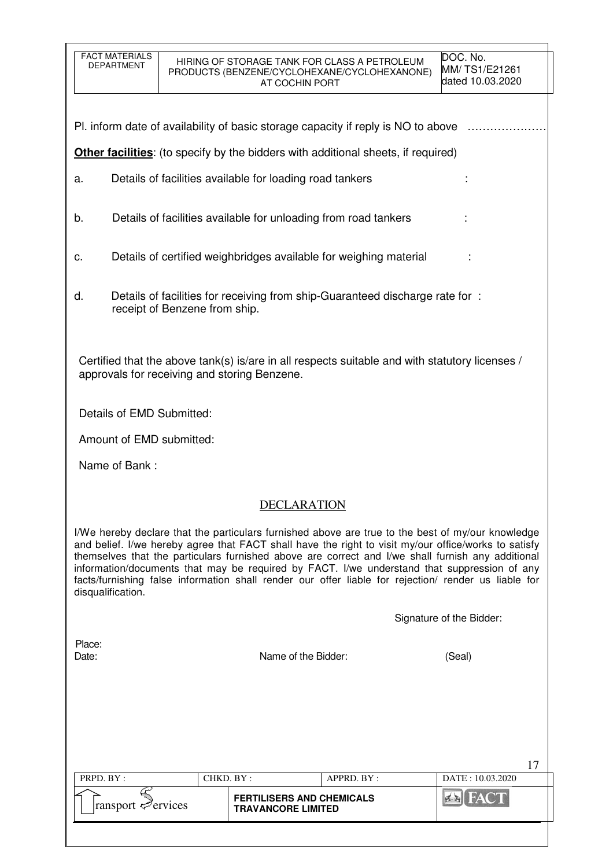| <b>FACT MATERIALS</b><br><b>DEPARTMENT</b>                                                                                                                                                                                                                                                                                                                                                                                                                                                                                                 | HIRING OF STORAGE TANK FOR CLASS A PETROLEUM<br>PRODUCTS (BENZENE/CYCLOHEXANE/CYCLOHEXANONE)<br>AT COCHIN PORT | DOC. No.<br>MM/TS1/E21261<br>dated 10.03.2020 |  |  |  |  |  |  |
|--------------------------------------------------------------------------------------------------------------------------------------------------------------------------------------------------------------------------------------------------------------------------------------------------------------------------------------------------------------------------------------------------------------------------------------------------------------------------------------------------------------------------------------------|----------------------------------------------------------------------------------------------------------------|-----------------------------------------------|--|--|--|--|--|--|
| PI. inform date of availability of basic storage capacity if reply is NO to above                                                                                                                                                                                                                                                                                                                                                                                                                                                          |                                                                                                                |                                               |  |  |  |  |  |  |
|                                                                                                                                                                                                                                                                                                                                                                                                                                                                                                                                            | <b>Other facilities:</b> (to specify by the bidders with additional sheets, if required)                       |                                               |  |  |  |  |  |  |
| a.                                                                                                                                                                                                                                                                                                                                                                                                                                                                                                                                         | Details of facilities available for loading road tankers                                                       |                                               |  |  |  |  |  |  |
| b.                                                                                                                                                                                                                                                                                                                                                                                                                                                                                                                                         | Details of facilities available for unloading from road tankers                                                |                                               |  |  |  |  |  |  |
| c.                                                                                                                                                                                                                                                                                                                                                                                                                                                                                                                                         | Details of certified weighbridges available for weighing material                                              |                                               |  |  |  |  |  |  |
| d.<br>receipt of Benzene from ship.                                                                                                                                                                                                                                                                                                                                                                                                                                                                                                        | Details of facilities for receiving from ship-Guaranteed discharge rate for:                                   |                                               |  |  |  |  |  |  |
| Certified that the above tank(s) is/are in all respects suitable and with statutory licenses /<br>approvals for receiving and storing Benzene.                                                                                                                                                                                                                                                                                                                                                                                             |                                                                                                                |                                               |  |  |  |  |  |  |
| Details of EMD Submitted:                                                                                                                                                                                                                                                                                                                                                                                                                                                                                                                  |                                                                                                                |                                               |  |  |  |  |  |  |
| Amount of EMD submitted:                                                                                                                                                                                                                                                                                                                                                                                                                                                                                                                   |                                                                                                                |                                               |  |  |  |  |  |  |
| Name of Bank:                                                                                                                                                                                                                                                                                                                                                                                                                                                                                                                              |                                                                                                                |                                               |  |  |  |  |  |  |
|                                                                                                                                                                                                                                                                                                                                                                                                                                                                                                                                            | <b>DECLARATION</b>                                                                                             |                                               |  |  |  |  |  |  |
| I/We hereby declare that the particulars furnished above are true to the best of my/our knowledge<br>and belief. I/we hereby agree that FACT shall have the right to visit my/our office/works to satisfy<br>themselves that the particulars furnished above are correct and I/we shall furnish any additional<br>information/documents that may be required by FACT. I/we understand that suppression of any<br>facts/furnishing false information shall render our offer liable for rejection/ render us liable for<br>disqualification. |                                                                                                                |                                               |  |  |  |  |  |  |
|                                                                                                                                                                                                                                                                                                                                                                                                                                                                                                                                            |                                                                                                                | Signature of the Bidder:                      |  |  |  |  |  |  |
| Place:<br>Date:                                                                                                                                                                                                                                                                                                                                                                                                                                                                                                                            | Name of the Bidder:                                                                                            | (Seal)                                        |  |  |  |  |  |  |
|                                                                                                                                                                                                                                                                                                                                                                                                                                                                                                                                            |                                                                                                                |                                               |  |  |  |  |  |  |
|                                                                                                                                                                                                                                                                                                                                                                                                                                                                                                                                            |                                                                                                                |                                               |  |  |  |  |  |  |
| PRPD. BY:<br>CHKD. BY:                                                                                                                                                                                                                                                                                                                                                                                                                                                                                                                     | APPRD. BY:                                                                                                     | 17<br>DATE: 10.03.2020                        |  |  |  |  |  |  |
| ransport Pervices                                                                                                                                                                                                                                                                                                                                                                                                                                                                                                                          | <b>FERTILISERS AND CHEMICALS</b><br><b>TRAVANCORE LIMITED</b>                                                  | $\sigma$ in                                   |  |  |  |  |  |  |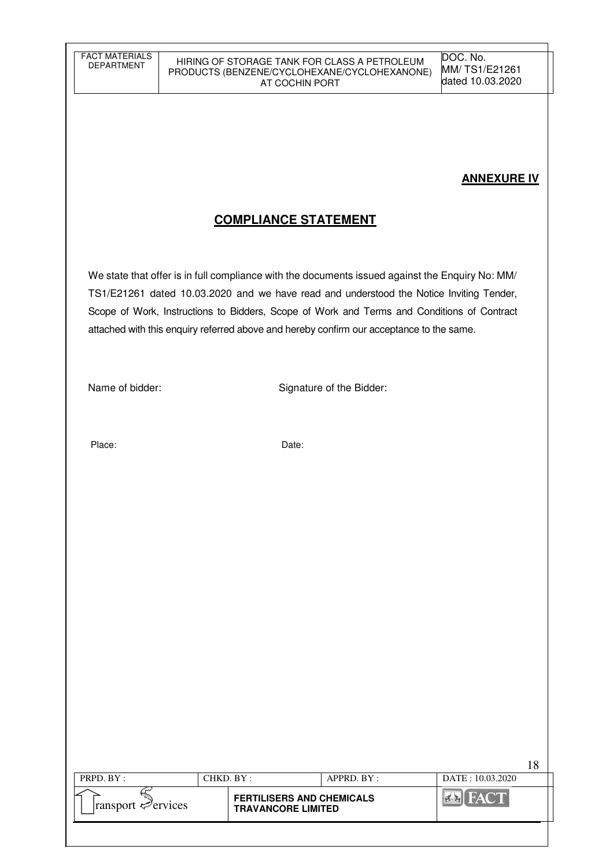## **ANNEXURE IV**

18

# **COMPLIANCE STATEMENT**

We state that offer is in full compliance with the documents issued against the Enquiry No: MM/ TS1/E21261 dated 10.03.2020 and we have read and understood the Notice Inviting Tender, Scope of Work, Instructions to Bidders, Scope of Work and Terms and Conditions of Contract attached with this enquiry referred above and hereby confirm our acceptance to the same.

Name of bidder: Signature of the Bidder:

Place: Date:

| <b>FERTILISERS AND CHEMICALS</b><br>$\lvert$ ransport $\ll$ ervices<br><b>TRAVANCORE LIMITED</b> | PRPD. BY: | CHKD. BY : |  | APPRD, BY: | DATE: 10.03.2020 |
|--------------------------------------------------------------------------------------------------|-----------|------------|--|------------|------------------|
|                                                                                                  |           |            |  |            |                  |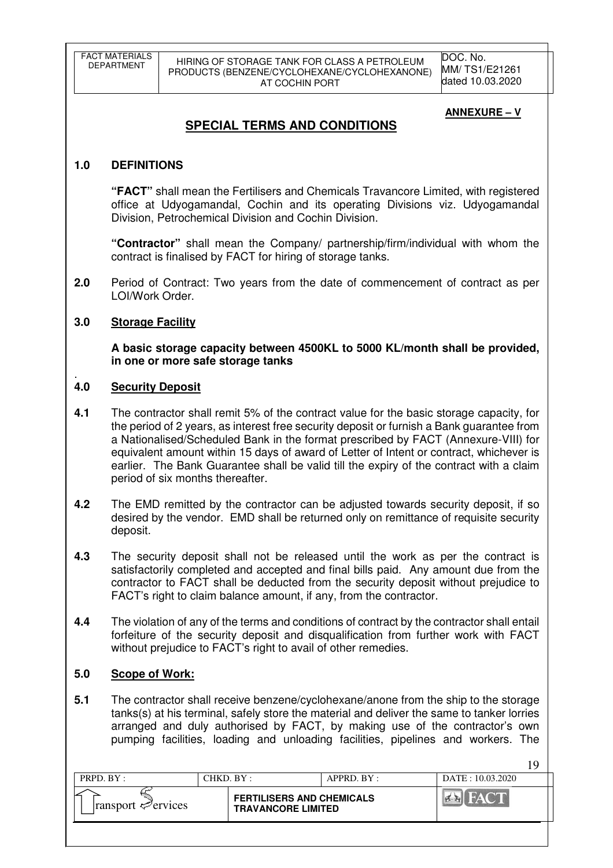DOC. No. MM/ TS1/E21261 dated 10.03.2020

### **ANNEXURE – V**

19

# **SPECIAL TERMS AND CONDITIONS**

### **1.0 DEFINITIONS**

**"FACT"** shall mean the Fertilisers and Chemicals Travancore Limited, with registered office at Udyogamandal, Cochin and its operating Divisions viz. Udyogamandal Division, Petrochemical Division and Cochin Division.

**"Contractor"** shall mean the Company/ partnership/firm/individual with whom the contract is finalised by FACT for hiring of storage tanks.

**2.0** Period of Contract: Two years from the date of commencement of contract as per LOI/Work Order.

### **3.0 Storage Facility**

**A basic storage capacity between 4500KL to 5000 KL/month shall be provided, in one or more safe storage tanks** 

#### . **4.0 Security Deposit**

- **4.1** The contractor shall remit 5% of the contract value for the basic storage capacity, for the period of 2 years, as interest free security deposit or furnish a Bank guarantee from a Nationalised/Scheduled Bank in the format prescribed by FACT (Annexure-VIII) for equivalent amount within 15 days of award of Letter of Intent or contract, whichever is earlier. The Bank Guarantee shall be valid till the expiry of the contract with a claim period of six months thereafter.
- **4.2** The EMD remitted by the contractor can be adjusted towards security deposit, if so desired by the vendor. EMD shall be returned only on remittance of requisite security deposit.
- **4.3** The security deposit shall not be released until the work as per the contract is satisfactorily completed and accepted and final bills paid. Any amount due from the contractor to FACT shall be deducted from the security deposit without prejudice to FACT's right to claim balance amount, if any, from the contractor.
- **4.4** The violation of any of the terms and conditions of contract by the contractor shall entail forfeiture of the security deposit and disqualification from further work with FACT without prejudice to FACT's right to avail of other remedies.

### **5.0 Scope of Work:**

**5.1** The contractor shall receive benzene/cyclohexane/anone from the ship to the storage tanks(s) at his terminal, safely store the material and deliver the same to tanker lorries arranged and duly authorised by FACT, by making use of the contractor's own pumping facilities, loading and unloading facilities, pipelines and workers. The

| PRPD. BY:                               | $CHKD$ $BY$ : |                                                               | APPRD. BY: | $DATA + 10.03.2020$ |
|-----------------------------------------|---------------|---------------------------------------------------------------|------------|---------------------|
| $\lvert$ ransport $\mathcal{L}$ ervices |               | <b>FERTILISERS AND CHEMICALS</b><br><b>TRAVANCORE LIMITED</b> |            | <b>EVA</b>          |
|                                         |               |                                                               |            |                     |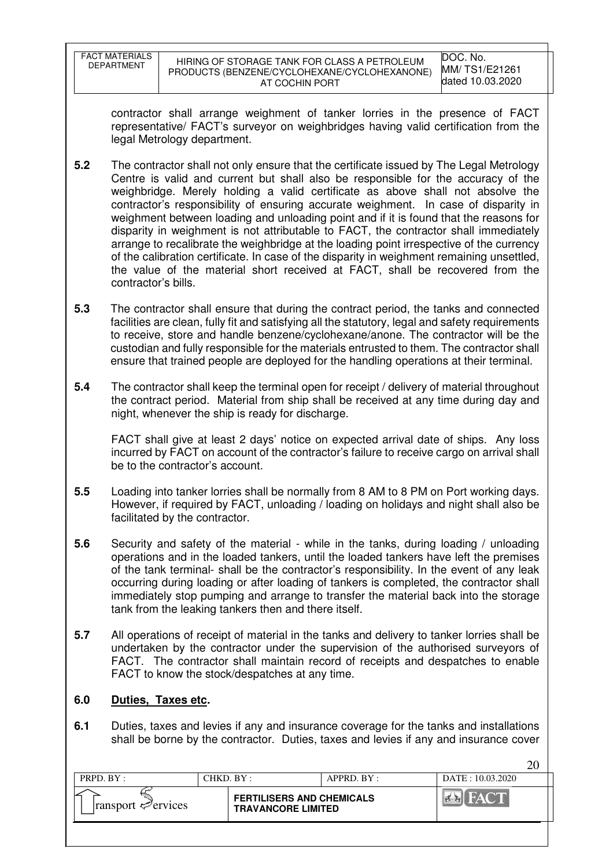| FACT MATERIALS    | HIRING OF STORAGE TANK FOR CLASS A PETROLEUM | DOC. No.         |
|-------------------|----------------------------------------------|------------------|
| <b>DEPARTMENT</b> | PRODUCTS (BENZENE/CYCLOHEXANE/CYCLOHEXANONE) | MM/TS1/E21261    |
|                   | AT COCHIN PORT                               | dated 10.03.2020 |

contractor shall arrange weighment of tanker lorries in the presence of FACT representative/ FACT's surveyor on weighbridges having valid certification from the legal Metrology department.

- **5.2** The contractor shall not only ensure that the certificate issued by The Legal Metrology Centre is valid and current but shall also be responsible for the accuracy of the weighbridge. Merely holding a valid certificate as above shall not absolve the contractor's responsibility of ensuring accurate weighment. In case of disparity in weighment between loading and unloading point and if it is found that the reasons for disparity in weighment is not attributable to FACT, the contractor shall immediately arrange to recalibrate the weighbridge at the loading point irrespective of the currency of the calibration certificate. In case of the disparity in weighment remaining unsettled, the value of the material short received at FACT, shall be recovered from the contractor's bills.
- **5.3** The contractor shall ensure that during the contract period, the tanks and connected facilities are clean, fully fit and satisfying all the statutory, legal and safety requirements to receive, store and handle benzene/cyclohexane/anone. The contractor will be the custodian and fully responsible for the materials entrusted to them. The contractor shall ensure that trained people are deployed for the handling operations at their terminal.
- **5.4** The contractor shall keep the terminal open for receipt / delivery of material throughout the contract period. Material from ship shall be received at any time during day and night, whenever the ship is ready for discharge.

FACT shall give at least 2 days' notice on expected arrival date of ships. Any loss incurred by FACT on account of the contractor's failure to receive cargo on arrival shall be to the contractor's account.

- **5.5** Loading into tanker lorries shall be normally from 8 AM to 8 PM on Port working days. However, if required by FACT, unloading / loading on holidays and night shall also be facilitated by the contractor.
- **5.6** Security and safety of the material while in the tanks, during loading / unloading operations and in the loaded tankers, until the loaded tankers have left the premises of the tank terminal- shall be the contractor's responsibility. In the event of any leak occurring during loading or after loading of tankers is completed, the contractor shall immediately stop pumping and arrange to transfer the material back into the storage tank from the leaking tankers then and there itself.
- **5.7** All operations of receipt of material in the tanks and delivery to tanker lorries shall be undertaken by the contractor under the supervision of the authorised surveyors of FACT. The contractor shall maintain record of receipts and despatches to enable FACT to know the stock/despatches at any time.

### **6.0 Duties, Taxes etc.**

**6.1** Duties, taxes and levies if any and insurance coverage for the tanks and installations shall be borne by the contractor. Duties, taxes and levies if any and insurance cover

| PRPD. BY:                               | CHKD. BY: |                                                               | APPRD. BY: | $DATA = 10.03.2020$ |
|-----------------------------------------|-----------|---------------------------------------------------------------|------------|---------------------|
| $\lvert$ ransport $\mathcal{P}$ ervices |           | <b>FERTILISERS AND CHEMICALS</b><br><b>TRAVANCORE LIMITED</b> |            | <b>FACT</b>         |
|                                         |           |                                                               |            |                     |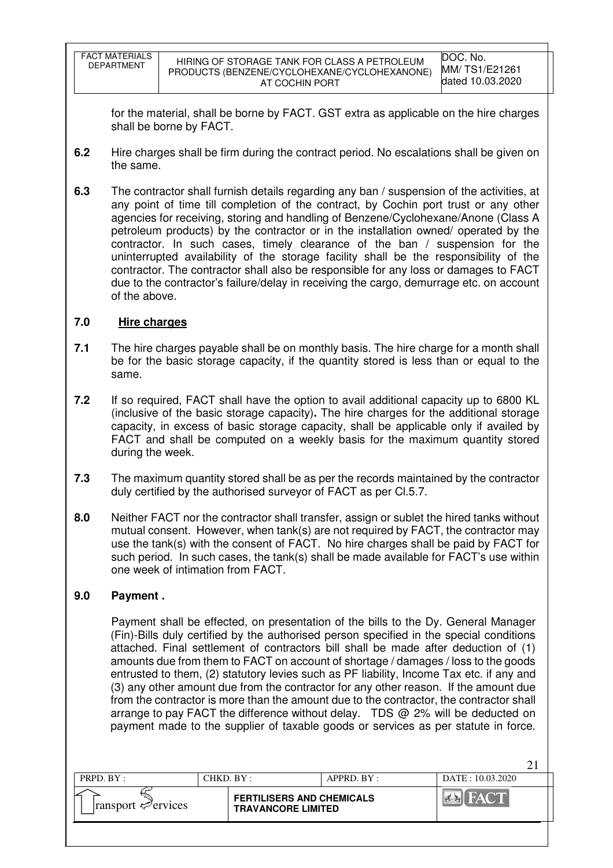| <b>FACT MATERIALS</b><br><b>DEPARTMENT</b> | HIRING OF STORAGE TANK FOR CLASS A PETROLEUM<br>PRODUCTS (BENZENE/CYCLOHEXANE/CYCLOHEXANONE)<br>AT COCHIN PORT | DOC. No.<br>MM/ TS1/E21261<br>dated 10.03.2020 |
|--------------------------------------------|----------------------------------------------------------------------------------------------------------------|------------------------------------------------|
|                                            |                                                                                                                |                                                |

for the material, shall be borne by FACT. GST extra as applicable on the hire charges shall be borne by FACT.

- **6.2** Hire charges shall be firm during the contract period. No escalations shall be given on the same.
- **6.3** The contractor shall furnish details regarding any ban / suspension of the activities, at any point of time till completion of the contract, by Cochin port trust or any other agencies for receiving, storing and handling of Benzene/Cyclohexane/Anone (Class A petroleum products) by the contractor or in the installation owned/ operated by the contractor. In such cases, timely clearance of the ban / suspension for the uninterrupted availability of the storage facility shall be the responsibility of the contractor. The contractor shall also be responsible for any loss or damages to FACT due to the contractor's failure/delay in receiving the cargo, demurrage etc. on account of the above.

# **7.0 Hire charges**

- **7.1** The hire charges payable shall be on monthly basis. The hire charge for a month shall be for the basic storage capacity, if the quantity stored is less than or equal to the same.
- **7.2** If so required, FACT shall have the option to avail additional capacity up to 6800 KL (inclusive of the basic storage capacity)**.** The hire charges for the additional storage capacity, in excess of basic storage capacity, shall be applicable only if availed by FACT and shall be computed on a weekly basis for the maximum quantity stored during the week.
- **7.3** The maximum quantity stored shall be as per the records maintained by the contractor duly certified by the authorised surveyor of FACT as per Cl.5.7.
- **8.0** Neither FACT nor the contractor shall transfer, assign or sublet the hired tanks without mutual consent. However, when tank(s) are not required by FACT, the contractor may use the tank(s) with the consent of FACT. No hire charges shall be paid by FACT for such period. In such cases, the tank(s) shall be made available for FACT's use within one week of intimation from FACT.

### **9.0 Payment .**

 Payment shall be effected, on presentation of the bills to the Dy. General Manager (Fin)-Bills duly certified by the authorised person specified in the special conditions attached. Final settlement of contractors bill shall be made after deduction of (1) amounts due from them to FACT on account of shortage / damages / loss to the goods entrusted to them, (2) statutory levies such as PF liability, Income Tax etc. if any and (3) any other amount due from the contractor for any other reason. If the amount due from the contractor is more than the amount due to the contractor, the contractor shall arrange to pay FACT the difference without delay. TDS @ 2% will be deducted on payment made to the supplier of taxable goods or services as per statute in force.

| PRPD. BY:                       | CHKD. BY:                                                     | $APPRD$ $BY$ : | $DATA + 10.03.2020$ |  |
|---------------------------------|---------------------------------------------------------------|----------------|---------------------|--|
| $\lvert$ ransport $\ll$ ervices | <b>FERTILISERS AND CHEMICALS</b><br><b>TRAVANCORE LIMITED</b> |                |                     |  |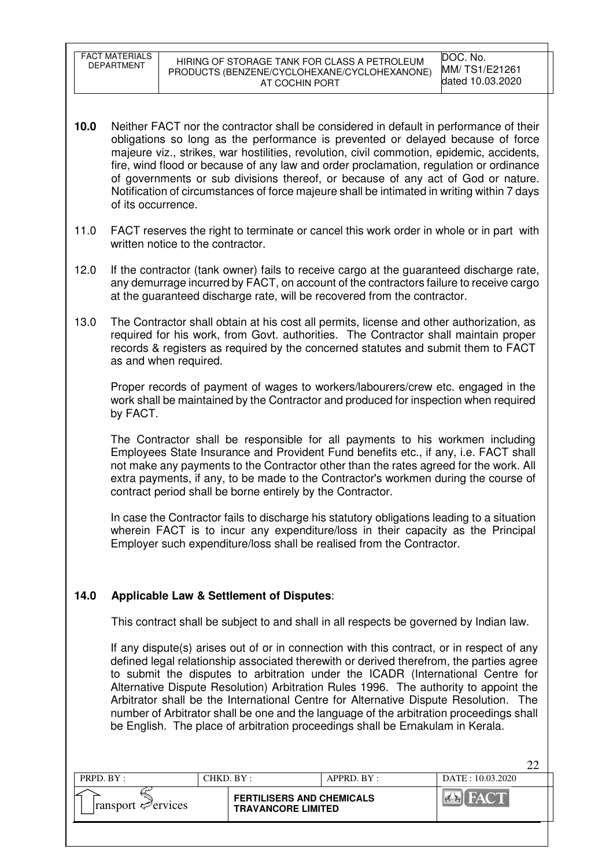FACT MATERIALS<br>DEPARTMENT

 $22$ 

- **10.0** Neither FACT nor the contractor shall be considered in default in performance of their obligations so long as the performance is prevented or delayed because of force majeure viz., strikes, war hostilities, revolution, civil commotion, epidemic, accidents, fire, wind flood or because of any law and order proclamation, regulation or ordinance of governments or sub divisions thereof, or because of any act of God or nature. Notification of circumstances of force majeure shall be intimated in writing within 7 days of its occurrence.
- 11.0 FACT reserves the right to terminate or cancel this work order in whole or in part with written notice to the contractor.
- 12.0 If the contractor (tank owner) fails to receive cargo at the guaranteed discharge rate, any demurrage incurred by FACT, on account of the contractors failure to receive cargo at the guaranteed discharge rate, will be recovered from the contractor.
- 13.0 The Contractor shall obtain at his cost all permits, license and other authorization, as required for his work, from Govt. authorities. The Contractor shall maintain proper records & registers as required by the concerned statutes and submit them to FACT as and when required.

 Proper records of payment of wages to workers/labourers/crew etc. engaged in the work shall be maintained by the Contractor and produced for inspection when required by FACT.

 The Contractor shall be responsible for all payments to his workmen including Employees State Insurance and Provident Fund benefits etc., if any, i.e. FACT shall not make any payments to the Contractor other than the rates agreed for the work. All extra payments, if any, to be made to the Contractor's workmen during the course of contract period shall be borne entirely by the Contractor.

 In case the Contractor fails to discharge his statutory obligations leading to a situation wherein FACT is to incur any expenditure/loss in their capacity as the Principal Employer such expenditure/loss shall be realised from the Contractor.

### **14.0 Applicable Law & Settlement of Disputes**:

This contract shall be subject to and shall in all respects be governed by Indian law.

 If any dispute(s) arises out of or in connection with this contract, or in respect of any defined legal relationship associated therewith or derived therefrom, the parties agree to submit the disputes to arbitration under the ICADR (International Centre for Alternative Dispute Resolution) Arbitration Rules 1996. The authority to appoint the Arbitrator shall be the International Centre for Alternative Dispute Resolution. The number of Arbitrator shall be one and the language of the arbitration proceedings shall be English. The place of arbitration proceedings shall be Ernakulam in Kerala.

| <b>FERTILISERS AND CHEMICALS</b><br>ransport $\mathcal{P}$ ervices<br><b>TRAVANCORE LIMITED</b> | PRPD. BY: | $CHKD$ . $BY:$ | $APPRD$ $BY:$ | $DATA = 10.03.2020$ |
|-------------------------------------------------------------------------------------------------|-----------|----------------|---------------|---------------------|
|                                                                                                 |           |                |               |                     |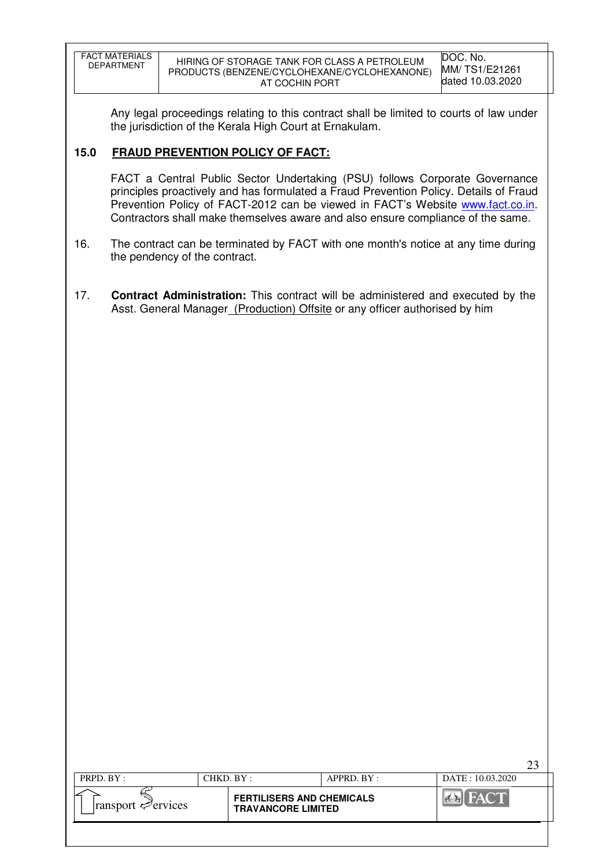| <b>FACT MATERIALS</b> | HIRING OF STORAGE TANK FOR CLASS A PETROLEUM | DOC. No.         |
|-----------------------|----------------------------------------------|------------------|
| <b>DEPARTMENT</b>     | PRODUCTS (BENZENE/CYCLOHEXANE/CYCLOHEXANONE) | MM/TS1/E21261    |
|                       | AT COCHIN PORT                               | dated 10.03.2020 |
|                       |                                              |                  |

 Any legal proceedings relating to this contract shall be limited to courts of law under the jurisdiction of the Kerala High Court at Ernakulam.

### **15.0 FRAUD PREVENTION POLICY OF FACT:**

 FACT a Central Public Sector Undertaking (PSU) follows Corporate Governance principles proactively and has formulated a Fraud Prevention Policy. Details of Fraud Prevention Policy of FACT-2012 can be viewed in FACT's Website www.fact.co.in. Contractors shall make themselves aware and also ensure compliance of the same.

- 16. The contract can be terminated by FACT with one month's notice at any time during the pendency of the contract.
- 17. **Contract Administration:** This contract will be administered and executed by the Asst. General Manager (Production) Offsite or any officer authorised by him

|                                         |            |                                                               |                  |                  | ົາ |
|-----------------------------------------|------------|---------------------------------------------------------------|------------------|------------------|----|
| PRPD. BY:                               | CHKD. BY : |                                                               | $APPRD$ . $BY$ : | DATE: 10.03.2020 |    |
| $\lvert$ ransport $\mathcal{P}$ ervices |            | <b>FERTILISERS AND CHEMICALS</b><br><b>TRAVANCORE LIMITED</b> |                  |                  |    |
|                                         |            |                                                               |                  |                  |    |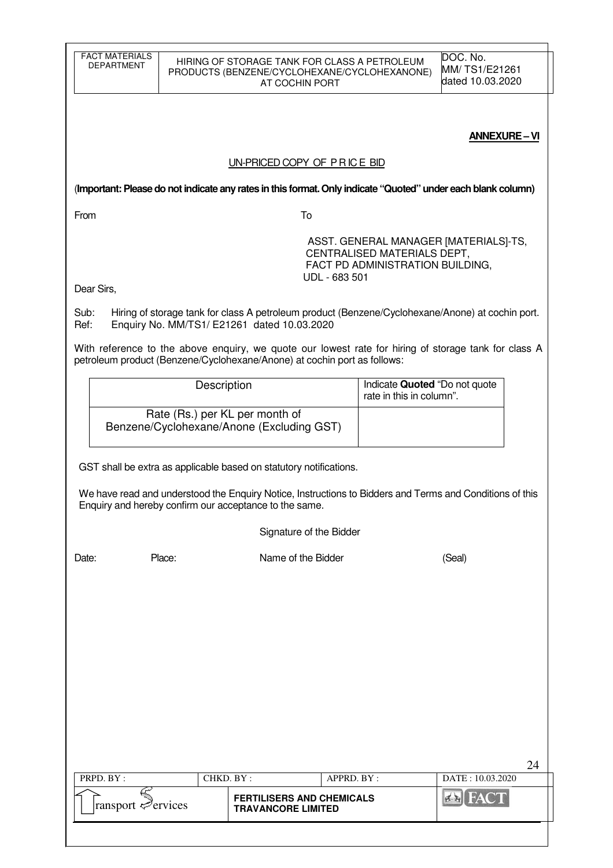| <b>FACT MATERIALS</b><br><b>DEPARTMENT</b>                                                                                                                         |                                | HIRING OF STORAGE TANK FOR CLASS A PETROLEUM<br>PRODUCTS (BENZENE/CYCLOHEXANE/CYCLOHEXANONE)<br>AT COCHIN PORT                                                                   |                                                                                                          | DOC. No.<br>MM/TS1/E21261<br>dated 10.03.2020 |    |  |
|--------------------------------------------------------------------------------------------------------------------------------------------------------------------|--------------------------------|----------------------------------------------------------------------------------------------------------------------------------------------------------------------------------|----------------------------------------------------------------------------------------------------------|-----------------------------------------------|----|--|
|                                                                                                                                                                    |                                |                                                                                                                                                                                  |                                                                                                          | <b>ANNEXURE-VI</b>                            |    |  |
|                                                                                                                                                                    |                                | UN-PRICED COPY OF PRICE BID                                                                                                                                                      |                                                                                                          |                                               |    |  |
|                                                                                                                                                                    |                                | (Important: Please do not indicate any rates in this format. Only indicate "Quoted" under each blank column)                                                                     |                                                                                                          |                                               |    |  |
| From                                                                                                                                                               |                                | To                                                                                                                                                                               |                                                                                                          |                                               |    |  |
|                                                                                                                                                                    |                                | UDL - 683 501                                                                                                                                                                    | ASST. GENERAL MANAGER [MATERIALS]-TS,<br>CENTRALISED MATERIALS DEPT,<br>FACT PD ADMINISTRATION BUILDING, |                                               |    |  |
| Dear Sirs,                                                                                                                                                         |                                |                                                                                                                                                                                  |                                                                                                          |                                               |    |  |
| Sub:<br>Ref:                                                                                                                                                       |                                | Hiring of storage tank for class A petroleum product (Benzene/Cyclohexane/Anone) at cochin port.<br>Enquiry No. MM/TS1/ E21261 dated 10.03.2020                                  |                                                                                                          |                                               |    |  |
|                                                                                                                                                                    |                                | With reference to the above enquiry, we quote our lowest rate for hiring of storage tank for class A<br>petroleum product (Benzene/Cyclohexane/Anone) at cochin port as follows: |                                                                                                          |                                               |    |  |
|                                                                                                                                                                    | Description                    | Indicate Quoted "Do not quote<br>rate in this in column".                                                                                                                        |                                                                                                          |                                               |    |  |
|                                                                                                                                                                    | Rate (Rs.) per KL per month of |                                                                                                                                                                                  |                                                                                                          |                                               |    |  |
|                                                                                                                                                                    |                                | Benzene/Cyclohexane/Anone (Excluding GST)                                                                                                                                        |                                                                                                          |                                               |    |  |
|                                                                                                                                                                    |                                | GST shall be extra as applicable based on statutory notifications.                                                                                                               |                                                                                                          |                                               |    |  |
| We have read and understood the Enquiry Notice, Instructions to Bidders and Terms and Conditions of this<br>Enquiry and hereby confirm our acceptance to the same. |                                |                                                                                                                                                                                  |                                                                                                          |                                               |    |  |
|                                                                                                                                                                    |                                | Signature of the Bidder                                                                                                                                                          |                                                                                                          |                                               |    |  |
| Date:                                                                                                                                                              | Place:                         | Name of the Bidder                                                                                                                                                               |                                                                                                          | (Seal)                                        |    |  |
|                                                                                                                                                                    |                                |                                                                                                                                                                                  |                                                                                                          |                                               |    |  |
|                                                                                                                                                                    |                                |                                                                                                                                                                                  |                                                                                                          |                                               |    |  |
|                                                                                                                                                                    |                                |                                                                                                                                                                                  |                                                                                                          |                                               |    |  |
|                                                                                                                                                                    |                                |                                                                                                                                                                                  |                                                                                                          |                                               |    |  |
|                                                                                                                                                                    |                                |                                                                                                                                                                                  |                                                                                                          |                                               |    |  |
|                                                                                                                                                                    |                                |                                                                                                                                                                                  |                                                                                                          |                                               |    |  |
|                                                                                                                                                                    |                                |                                                                                                                                                                                  |                                                                                                          |                                               |    |  |
|                                                                                                                                                                    |                                |                                                                                                                                                                                  |                                                                                                          |                                               | 24 |  |
| PRPD. BY:                                                                                                                                                          | CHKD. BY:                      | APPRD. BY :                                                                                                                                                                      |                                                                                                          | DATE: 10.03.2020                              |    |  |
| ransport Pervices                                                                                                                                                  |                                | <b>FERTILISERS AND CHEMICALS</b><br><b>TRAVANCORE LIMITED</b>                                                                                                                    |                                                                                                          |                                               |    |  |
|                                                                                                                                                                    |                                |                                                                                                                                                                                  |                                                                                                          |                                               |    |  |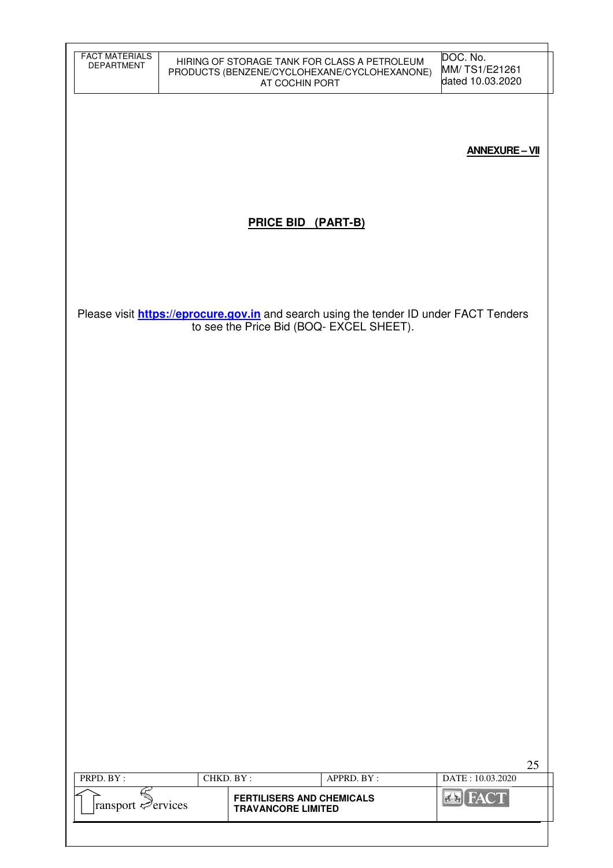| <b>FACT MATERIALS</b><br><b>DEPARTMENT</b>             |           | AT COCHIN PORT                   | HIRING OF STORAGE TANK FOR CLASS A PETROLEUM<br>PRODUCTS (BENZENE/CYCLOHEXANE/CYCLOHEXANONE)  | DOC. No.<br>MM/TS1/E21261<br>dated 10.03.2020 |
|--------------------------------------------------------|-----------|----------------------------------|-----------------------------------------------------------------------------------------------|-----------------------------------------------|
|                                                        |           |                                  |                                                                                               |                                               |
|                                                        |           |                                  |                                                                                               | <b>ANNEXURE-VII</b>                           |
|                                                        |           | <b>PRICE BID (PART-B)</b>        |                                                                                               |                                               |
|                                                        |           |                                  |                                                                                               |                                               |
|                                                        |           |                                  | Please visit <b>https://eprocure.gov.in</b> and search using the tender ID under FACT Tenders |                                               |
|                                                        |           |                                  | to see the Price Bid (BOQ- EXCEL SHEET).                                                      |                                               |
|                                                        |           |                                  |                                                                                               |                                               |
|                                                        |           |                                  |                                                                                               |                                               |
|                                                        |           |                                  |                                                                                               |                                               |
|                                                        |           |                                  |                                                                                               |                                               |
|                                                        |           |                                  |                                                                                               |                                               |
|                                                        |           |                                  |                                                                                               |                                               |
|                                                        |           |                                  |                                                                                               |                                               |
|                                                        |           |                                  |                                                                                               |                                               |
|                                                        |           |                                  |                                                                                               |                                               |
|                                                        |           |                                  |                                                                                               | 25                                            |
| PRPD. BY:                                              | CHKD. BY: | <b>FERTILISERS AND CHEMICALS</b> | APPRD. BY:                                                                                    | DATE: 10.03.2020<br><b>EX</b> FACT            |
| $\sum_{\text{transport}} \mathcal{E}_{\text{ervices}}$ |           | <b>TRAVANCORE LIMITED</b>        |                                                                                               |                                               |
|                                                        |           |                                  |                                                                                               |                                               |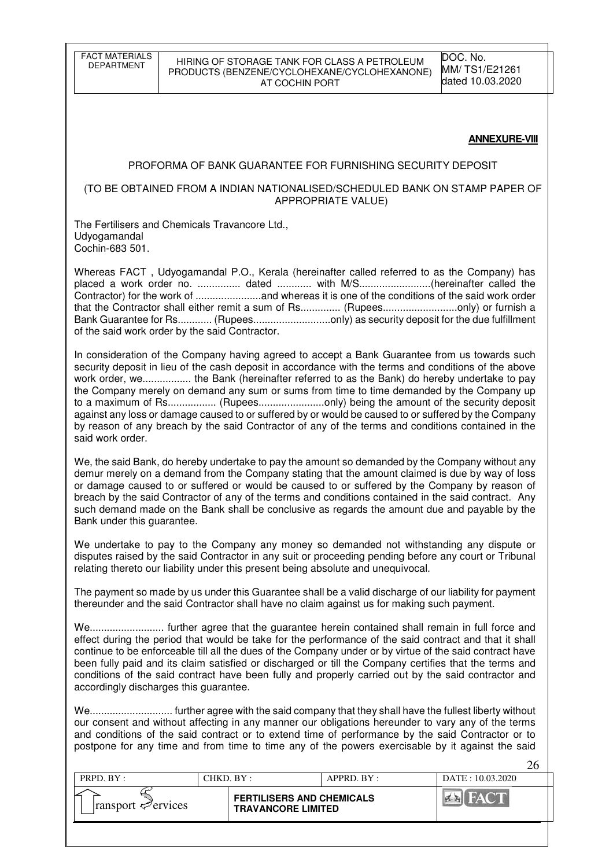FACT MATERIALS

#### HIRING OF STORAGE TANK FOR CLASS A PETROLEUM PRODUCTS (BENZENE/CYCLOHEXANE/CYCLOHEXANONE) AT COCHIN PORT

DOC. No. MM/ TS1/E21261 dated 10.03.2020

#### **ANNEXURE-VIII**

#### PROFORMA OF BANK GUARANTEE FOR FURNISHING SECURITY DEPOSIT

#### (TO BE OBTAINED FROM A INDIAN NATIONALISED/SCHEDULED BANK ON STAMP PAPER OF APPROPRIATE VALUE)

The Fertilisers and Chemicals Travancore Ltd., Udyogamandal Cochin-683 501.

Whereas FACT , Udyogamandal P.O., Kerala (hereinafter called referred to as the Company) has placed a work order no. ............... dated ............ with M/S.........................(hereinafter called the Contractor) for the work of .......................and whereas it is one of the conditions of the said work order that the Contractor shall either remit a sum of Rs.............. (Rupees..........................only) or furnish a Bank Guarantee for Rs............ (Rupees...........................only) as security deposit for the due fulfillment of the said work order by the said Contractor.

In consideration of the Company having agreed to accept a Bank Guarantee from us towards such security deposit in lieu of the cash deposit in accordance with the terms and conditions of the above work order, we................. the Bank (hereinafter referred to as the Bank) do hereby undertake to pay the Company merely on demand any sum or sums from time to time demanded by the Company up to a maximum of Rs................. (Rupees.......................only) being the amount of the security deposit against any loss or damage caused to or suffered by or would be caused to or suffered by the Company by reason of any breach by the said Contractor of any of the terms and conditions contained in the said work order.

We, the said Bank, do hereby undertake to pay the amount so demanded by the Company without any demur merely on a demand from the Company stating that the amount claimed is due by way of loss or damage caused to or suffered or would be caused to or suffered by the Company by reason of breach by the said Contractor of any of the terms and conditions contained in the said contract. Any such demand made on the Bank shall be conclusive as regards the amount due and payable by the Bank under this guarantee.

We undertake to pay to the Company any money so demanded not withstanding any dispute or disputes raised by the said Contractor in any suit or proceeding pending before any court or Tribunal relating thereto our liability under this present being absolute and unequivocal.

The payment so made by us under this Guarantee shall be a valid discharge of our liability for payment thereunder and the said Contractor shall have no claim against us for making such payment.

We.......................... further agree that the guarantee herein contained shall remain in full force and effect during the period that would be take for the performance of the said contract and that it shall continue to be enforceable till all the dues of the Company under or by virtue of the said contract have been fully paid and its claim satisfied or discharged or till the Company certifies that the terms and conditions of the said contract have been fully and properly carried out by the said contractor and accordingly discharges this guarantee.

We............................. further agree with the said company that they shall have the fullest liberty without our consent and without affecting in any manner our obligations hereunder to vary any of the terms and conditions of the said contract or to extend time of performance by the said Contractor or to postpone for any time and from time to time any of the powers exercisable by it against the said

| PRPD. BY:                               | CHKD. BY: |                                                               | APPRD. BY: | DATA: 10.03.2020 |
|-----------------------------------------|-----------|---------------------------------------------------------------|------------|------------------|
| $\lvert$ ransport $\mathcal{P}$ ervices |           | <b>FERTILISERS AND CHEMICALS</b><br><b>TRAVANCORE LIMITED</b> |            |                  |
|                                         |           |                                                               |            |                  |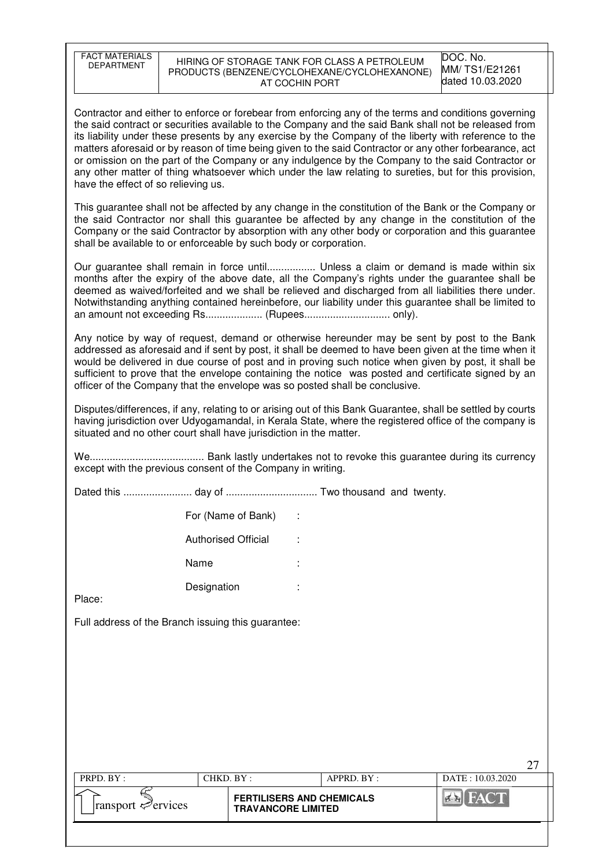| <b>FACT MATERIALS</b><br><b>DEPARTMENT</b>                                                                                                                                                                                                                                                                                                                                                                   |                                                                                                                                                                                                                                                                                                                                                                                                                                                                                                   | HIRING OF STORAGE TANK FOR CLASS A PETROLEUM<br>PRODUCTS (BENZENE/CYCLOHEXANE/CYCLOHEXANONE)<br>AT COCHIN PORT                                                                                                                                                                                                                                                                                                                                                                                                                                                                                                                                     | DOC. No.<br>MM/TS1/E21261<br>dated 10.03.2020 |  |  |  |  |
|--------------------------------------------------------------------------------------------------------------------------------------------------------------------------------------------------------------------------------------------------------------------------------------------------------------------------------------------------------------------------------------------------------------|---------------------------------------------------------------------------------------------------------------------------------------------------------------------------------------------------------------------------------------------------------------------------------------------------------------------------------------------------------------------------------------------------------------------------------------------------------------------------------------------------|----------------------------------------------------------------------------------------------------------------------------------------------------------------------------------------------------------------------------------------------------------------------------------------------------------------------------------------------------------------------------------------------------------------------------------------------------------------------------------------------------------------------------------------------------------------------------------------------------------------------------------------------------|-----------------------------------------------|--|--|--|--|
| have the effect of so relieving us.                                                                                                                                                                                                                                                                                                                                                                          |                                                                                                                                                                                                                                                                                                                                                                                                                                                                                                   | Contractor and either to enforce or forebear from enforcing any of the terms and conditions governing<br>the said contract or securities available to the Company and the said Bank shall not be released from<br>its liability under these presents by any exercise by the Company of the liberty with reference to the<br>matters aforesaid or by reason of time being given to the said Contractor or any other forbearance, act<br>or omission on the part of the Company or any indulgence by the Company to the said Contractor or<br>any other matter of thing whatsoever which under the law relating to sureties, but for this provision, |                                               |  |  |  |  |
|                                                                                                                                                                                                                                                                                                                                                                                                              | shall be available to or enforceable by such body or corporation.                                                                                                                                                                                                                                                                                                                                                                                                                                 | This guarantee shall not be affected by any change in the constitution of the Bank or the Company or<br>the said Contractor nor shall this guarantee be affected by any change in the constitution of the<br>Company or the said Contractor by absorption with any other body or corporation and this guarantee                                                                                                                                                                                                                                                                                                                                    |                                               |  |  |  |  |
| Our guarantee shall remain in force until Unless a claim or demand is made within six<br>months after the expiry of the above date, all the Company's rights under the guarantee shall be<br>deemed as waived/forfeited and we shall be relieved and discharged from all liabilities there under.<br>Notwithstanding anything contained hereinbefore, our liability under this guarantee shall be limited to |                                                                                                                                                                                                                                                                                                                                                                                                                                                                                                   |                                                                                                                                                                                                                                                                                                                                                                                                                                                                                                                                                                                                                                                    |                                               |  |  |  |  |
|                                                                                                                                                                                                                                                                                                                                                                                                              | Any notice by way of request, demand or otherwise hereunder may be sent by post to the Bank<br>addressed as aforesaid and if sent by post, it shall be deemed to have been given at the time when it<br>would be delivered in due course of post and in proving such notice when given by post, it shall be<br>sufficient to prove that the envelope containing the notice was posted and certificate signed by an<br>officer of the Company that the envelope was so posted shall be conclusive. |                                                                                                                                                                                                                                                                                                                                                                                                                                                                                                                                                                                                                                                    |                                               |  |  |  |  |
|                                                                                                                                                                                                                                                                                                                                                                                                              | situated and no other court shall have jurisdiction in the matter.                                                                                                                                                                                                                                                                                                                                                                                                                                | Disputes/differences, if any, relating to or arising out of this Bank Guarantee, shall be settled by courts<br>having jurisdiction over Udyogamandal, in Kerala State, where the registered office of the company is                                                                                                                                                                                                                                                                                                                                                                                                                               |                                               |  |  |  |  |
|                                                                                                                                                                                                                                                                                                                                                                                                              | except with the previous consent of the Company in writing.                                                                                                                                                                                                                                                                                                                                                                                                                                       |                                                                                                                                                                                                                                                                                                                                                                                                                                                                                                                                                                                                                                                    |                                               |  |  |  |  |
|                                                                                                                                                                                                                                                                                                                                                                                                              |                                                                                                                                                                                                                                                                                                                                                                                                                                                                                                   |                                                                                                                                                                                                                                                                                                                                                                                                                                                                                                                                                                                                                                                    |                                               |  |  |  |  |
|                                                                                                                                                                                                                                                                                                                                                                                                              | For (Name of Bank)                                                                                                                                                                                                                                                                                                                                                                                                                                                                                |                                                                                                                                                                                                                                                                                                                                                                                                                                                                                                                                                                                                                                                    |                                               |  |  |  |  |
|                                                                                                                                                                                                                                                                                                                                                                                                              | <b>Authorised Official</b>                                                                                                                                                                                                                                                                                                                                                                                                                                                                        |                                                                                                                                                                                                                                                                                                                                                                                                                                                                                                                                                                                                                                                    |                                               |  |  |  |  |
|                                                                                                                                                                                                                                                                                                                                                                                                              | Name                                                                                                                                                                                                                                                                                                                                                                                                                                                                                              |                                                                                                                                                                                                                                                                                                                                                                                                                                                                                                                                                                                                                                                    |                                               |  |  |  |  |
| Place:                                                                                                                                                                                                                                                                                                                                                                                                       | Designation                                                                                                                                                                                                                                                                                                                                                                                                                                                                                       |                                                                                                                                                                                                                                                                                                                                                                                                                                                                                                                                                                                                                                                    |                                               |  |  |  |  |
| Full address of the Branch issuing this guarantee:                                                                                                                                                                                                                                                                                                                                                           |                                                                                                                                                                                                                                                                                                                                                                                                                                                                                                   |                                                                                                                                                                                                                                                                                                                                                                                                                                                                                                                                                                                                                                                    |                                               |  |  |  |  |
|                                                                                                                                                                                                                                                                                                                                                                                                              |                                                                                                                                                                                                                                                                                                                                                                                                                                                                                                   |                                                                                                                                                                                                                                                                                                                                                                                                                                                                                                                                                                                                                                                    |                                               |  |  |  |  |
|                                                                                                                                                                                                                                                                                                                                                                                                              |                                                                                                                                                                                                                                                                                                                                                                                                                                                                                                   |                                                                                                                                                                                                                                                                                                                                                                                                                                                                                                                                                                                                                                                    |                                               |  |  |  |  |
|                                                                                                                                                                                                                                                                                                                                                                                                              |                                                                                                                                                                                                                                                                                                                                                                                                                                                                                                   |                                                                                                                                                                                                                                                                                                                                                                                                                                                                                                                                                                                                                                                    |                                               |  |  |  |  |
|                                                                                                                                                                                                                                                                                                                                                                                                              |                                                                                                                                                                                                                                                                                                                                                                                                                                                                                                   |                                                                                                                                                                                                                                                                                                                                                                                                                                                                                                                                                                                                                                                    |                                               |  |  |  |  |
|                                                                                                                                                                                                                                                                                                                                                                                                              |                                                                                                                                                                                                                                                                                                                                                                                                                                                                                                   |                                                                                                                                                                                                                                                                                                                                                                                                                                                                                                                                                                                                                                                    |                                               |  |  |  |  |
|                                                                                                                                                                                                                                                                                                                                                                                                              |                                                                                                                                                                                                                                                                                                                                                                                                                                                                                                   |                                                                                                                                                                                                                                                                                                                                                                                                                                                                                                                                                                                                                                                    | 27                                            |  |  |  |  |
| PRPD. BY:                                                                                                                                                                                                                                                                                                                                                                                                    | CHKD. BY:                                                                                                                                                                                                                                                                                                                                                                                                                                                                                         | APPRD. BY:                                                                                                                                                                                                                                                                                                                                                                                                                                                                                                                                                                                                                                         | DATE: 10.03.2020                              |  |  |  |  |
| ransport $\mathcal{P}$ ervices                                                                                                                                                                                                                                                                                                                                                                               |                                                                                                                                                                                                                                                                                                                                                                                                                                                                                                   | <b>FERTILISERS AND CHEMICALS</b><br><b>TRAVANCORE LIMITED</b>                                                                                                                                                                                                                                                                                                                                                                                                                                                                                                                                                                                      | <b>FACT</b>                                   |  |  |  |  |
|                                                                                                                                                                                                                                                                                                                                                                                                              |                                                                                                                                                                                                                                                                                                                                                                                                                                                                                                   |                                                                                                                                                                                                                                                                                                                                                                                                                                                                                                                                                                                                                                                    |                                               |  |  |  |  |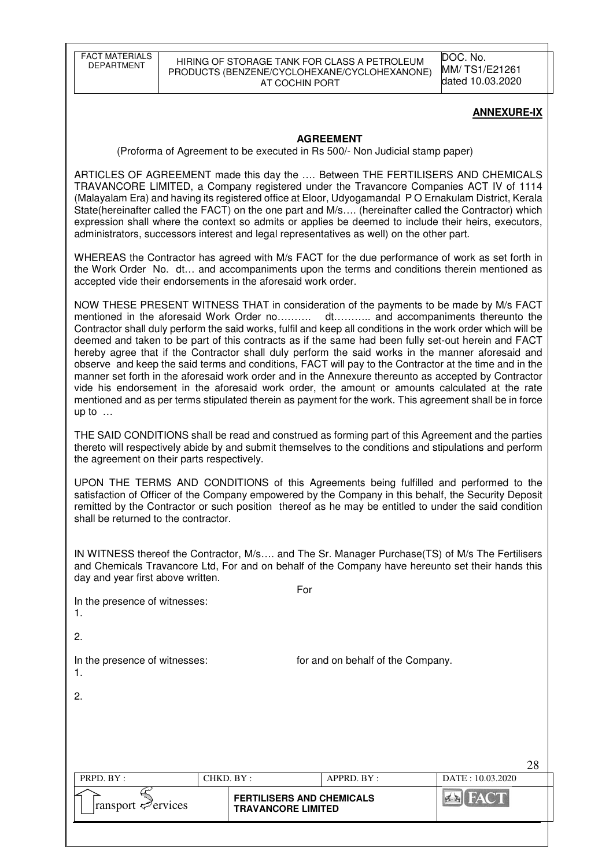FACT MATERIALS

#### HIRING OF STORAGE TANK FOR CLASS A PETROLEUM PRODUCTS (BENZENE/CYCLOHEXANE/CYCLOHEXANONE) AT COCHIN PORT

DOC. No. MM/ TS1/E21261 dated 10.03.2020

#### **ANNEXURE-IX**

 $28$ 

#### **AGREEMENT**

(Proforma of Agreement to be executed in Rs 500/- Non Judicial stamp paper)

ARTICLES OF AGREEMENT made this day the …. Between THE FERTILISERS AND CHEMICALS TRAVANCORE LIMITED, a Company registered under the Travancore Companies ACT IV of 1114 (Malayalam Era) and having its registered office at Eloor, Udyogamandal P O Ernakulam District, Kerala State(hereinafter called the FACT) on the one part and M/s…. (hereinafter called the Contractor) which expression shall where the context so admits or applies be deemed to include their heirs, executors, administrators, successors interest and legal representatives as well) on the other part.

WHEREAS the Contractor has agreed with M/s FACT for the due performance of work as set forth in the Work Order No. dt… and accompaniments upon the terms and conditions therein mentioned as accepted vide their endorsements in the aforesaid work order.

NOW THESE PRESENT WITNESS THAT in consideration of the payments to be made by M/s FACT mentioned in the aforesaid Work Order no………. dt……….. and accompaniments thereunto the Contractor shall duly perform the said works, fulfil and keep all conditions in the work order which will be deemed and taken to be part of this contracts as if the same had been fully set-out herein and FACT hereby agree that if the Contractor shall duly perform the said works in the manner aforesaid and observe and keep the said terms and conditions, FACT will pay to the Contractor at the time and in the manner set forth in the aforesaid work order and in the Annexure thereunto as accepted by Contractor vide his endorsement in the aforesaid work order, the amount or amounts calculated at the rate mentioned and as per terms stipulated therein as payment for the work. This agreement shall be in force up to …

THE SAID CONDITIONS shall be read and construed as forming part of this Agreement and the parties thereto will respectively abide by and submit themselves to the conditions and stipulations and perform the agreement on their parts respectively.

UPON THE TERMS AND CONDITIONS of this Agreements being fulfilled and performed to the satisfaction of Officer of the Company empowered by the Company in this behalf, the Security Deposit remitted by the Contractor or such position thereof as he may be entitled to under the said condition shall be returned to the contractor.

IN WITNESS thereof the Contractor, M/s…. and The Sr. Manager Purchase(TS) of M/s The Fertilisers and Chemicals Travancore Ltd, For and on behalf of the Company have hereunto set their hands this day and year first above written.

|                               | For: |
|-------------------------------|------|
| In the presence of witnesses: |      |
|                               |      |
|                               |      |

2.

In the presence of witnesses: for and on behalf of the Company.

 $\mathcal{P}$ 

| PRPD. BY:                      | CHKD. BY:                                                     | $APPRD$ . $BY$ : | DATE: 10.03.2020 |
|--------------------------------|---------------------------------------------------------------|------------------|------------------|
| ransport $\mathcal{P}$ ervices | <b>FERTILISERS AND CHEMICALS</b><br><b>TRAVANCORE LIMITED</b> |                  |                  |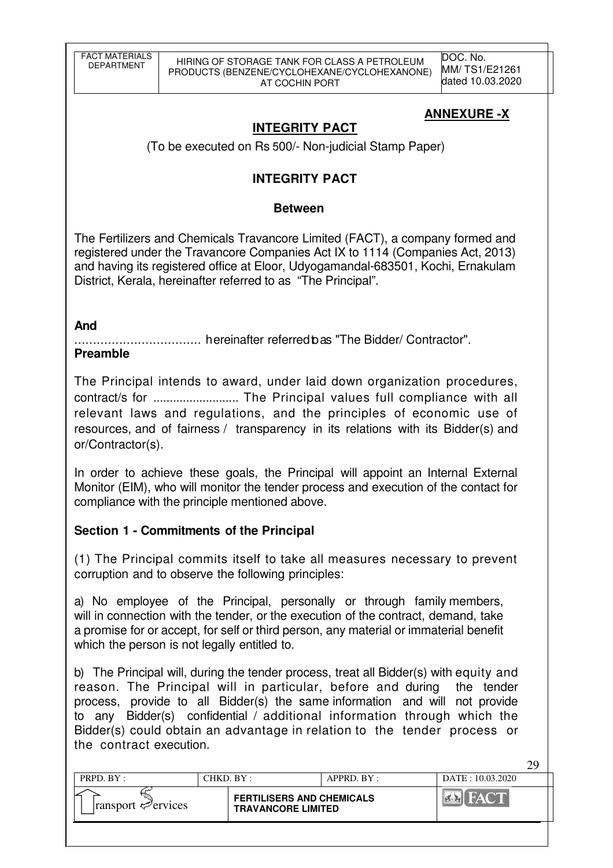DOC. No. MM/ TS1/E21261 dated 10.03.2020

 $29$ 

# **ANNEXURE -X**

# **INTEGRITY PACT**

(To be executed on Rs 500/- Non-judicial Stamp Paper)

# **INTEGRITY PACT**

# **Between**

The Fertilizers and Chemicals Travancore Limited (FACT), a company formed and registered under the Travancore Companies Act IX to 1114 (Companies Act, 2013) and having its registered office at Eloor, Udyogamandal-683501, Kochi, Ernakulam District, Kerala, hereinafter referred to as "The Principal".

# **And**

.................................. hereinafter referred to as "The Bidder/ Contractor".

# **Preamble**

The Principal intends to award, under laid down organization procedures, contract/s for .......................... The Principal values full compliance with all relevant laws and regulations, and the principles of economic use of resources, and of fairness / transparency in its relations with its Bidder(s) and or/Contractor(s).

In order to achieve these goals, the Principal will appoint an Internal External Monitor (EIM), who will monitor the tender process and execution of the contact for compliance with the principle mentioned above.

# **Section 1 - Commitments of the Principal**

(1) The Principal commits itself to take all measures necessary to prevent corruption and to observe the following principles:

a) No employee of the Principal, personally or through family members, will in connection with the tender, or the execution of the contract, demand, take a promise for or accept, for self or third person, any material or immaterial benefit which the person is not legally entitled to.

b) The Principal will, during the tender process, treat all Bidder(s) with equity and reason. The Principal will in particular, before and during the tender process, provide to all Bidder(s) the same information and will not provide to any Bidder(s) confidential / additional information through which the Bidder(s) could obtain an advantage in relation to the tender process or the contract execution.

| PRPD. BY:         | CHKD $BY:$                                                    | $APPRD$ $BY$ : | DATE: 10.03.2020 |
|-------------------|---------------------------------------------------------------|----------------|------------------|
| ransport ⇔ervices | <b>FERTILISERS AND CHEMICALS</b><br><b>TRAVANCORE LIMITED</b> |                |                  |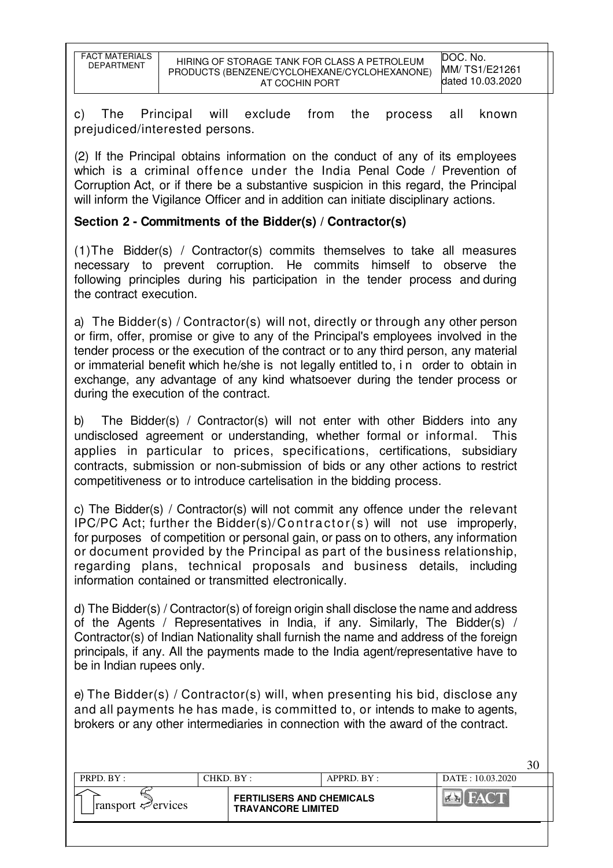| FACT MATERIALS<br><b>DEPARTMENT</b> | HIRING OF STORAGE TANK FOR CLASS A PETROLEUM<br>PRODUCTS (BENZENE/CYCLOHEXANE/CYCLOHEXANONE)<br>AT COCHIN PORT | DOC. No.<br>MM/ TS1/E21261<br>dated 10.03.2020 |
|-------------------------------------|----------------------------------------------------------------------------------------------------------------|------------------------------------------------|

c) The Principal will exclude from the process all known prejudiced/interested persons.

(2) If the Principal obtains information on the conduct of any of its employees which is a criminal offence under the India Penal Code / Prevention of Corruption Act, or if there be a substantive suspicion in this regard, the Principal will inform the Vigilance Officer and in addition can initiate disciplinary actions.

# **Section 2 - Commitments of the Bidder(s) / Contractor(s)**

(1)The Bidder(s) / Contractor(s) commits themselves to take all measures necessary to prevent corruption. He commits himself to observe the following principles during his participation in the tender process and during the contract execution.

a) The Bidder(s) / Contractor(s) will not, directly or through any other person or firm, offer, promise or give to any of the Principal's employees involved in the tender process or the execution of the contract or to any third person, any material or immaterial benefit which he/she is not legally entitled to, i n order to obtain in exchange, any advantage of any kind whatsoever during the tender process or during the execution of the contract.

b) The Bidder(s) / Contractor(s) will not enter with other Bidders into any undisclosed agreement or understanding, whether formal or informal. This applies in particular to prices, specifications, certifications, subsidiary contracts, submission or non-submission of bids or any other actions to restrict competitiveness or to introduce cartelisation in the bidding process.

c) The Bidder(s) / Contractor(s) will not commit any offence under the relevant IPC/PC Act; further the Bidder(s)/Contra ctor(s ) will not use improperly, for purposes of competition or personal gain, or pass on to others, any information or document provided by the Principal as part of the business relationship, regarding plans, technical proposals and business details, including information contained or transmitted electronically.

d) The Bidder(s) / Contractor(s) of foreign origin shall disclose the name and address of the Agents / Representatives in India, if any. Similarly, The Bidder(s) / Contractor(s) of Indian Nationality shall furnish the name and address of the foreign principals, if any. All the payments made to the India agent/representative have to be in Indian rupees only.

e) The Bidder(s) / Contractor(s) will, when presenting his bid, disclose any and all payments he has made, is committed to, or intends to make to agents, brokers or any other intermediaries in connection with the award of the contract.

| PRPD. BY:                               | CHKD. BY : |                                                               | $APPRD$ . $BY$ : | DATE: 10.03.2020 | ◡◡ |
|-----------------------------------------|------------|---------------------------------------------------------------|------------------|------------------|----|
| $\lvert$ ransport $\mathcal{P}$ ervices |            | <b>FERTILISERS AND CHEMICALS</b><br><b>TRAVANCORE LIMITED</b> |                  |                  |    |
|                                         |            |                                                               |                  |                  |    |

 $30<sup>2</sup>$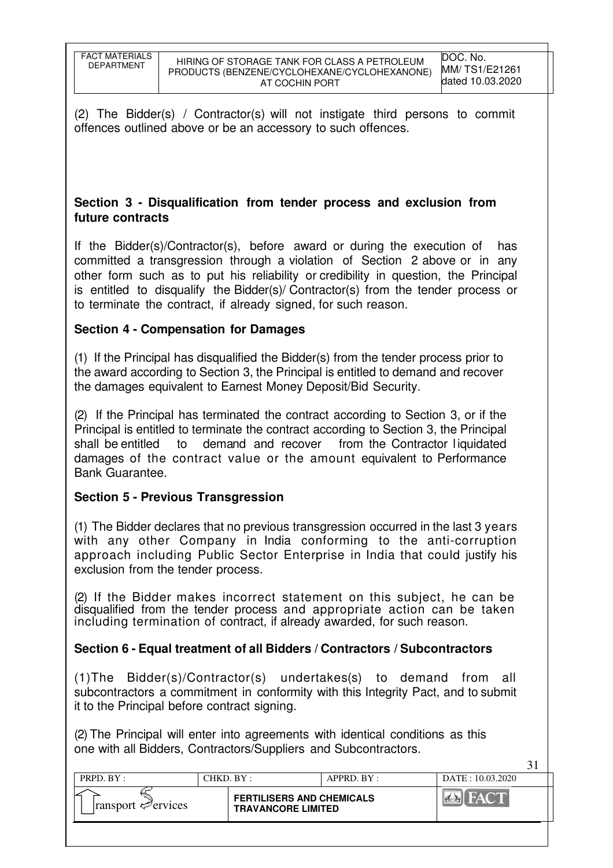(2) The Bidder(s) / Contractor(s) will not instigate third persons to commit offences outlined above or be an accessory to such offences.

# **Section 3 - Disqualification from tender process and exclusion from future contracts**

If the Bidder(s)/Contractor(s), before award or during the execution of has committed a transgression through a violation of Section 2 above or in any other form such as to put his reliability or credibility in question, the Principal is entitled to disqualify the Bidder(s)/ Contractor(s) from the tender process or to terminate the contract, if already signed, for such reason.

# **Section 4 - Compensation for Damages**

(1) If the Principal has disqualified the Bidder(s) from the tender process prior to the award according to Section 3, the Principal is entitled to demand and recover the damages equivalent to Earnest Money Deposit/Bid Security.

(2) If the Principal has terminated the contract according to Section 3, or if the Principal is entitled to terminate the contract according to Section 3, the Principal shall be entitled to demand and recover from the Contractor liquidated damages of the contract value or the amount equivalent to Performance Bank Guarantee.

# **Section 5 - Previous Transgression**

(1) The Bidder declares that no previous transgression occurred in the last 3 years with any other Company in India conforming to the anti-corruption approach including Public Sector Enterprise in India that could justify his exclusion from the tender process.

(2) If the Bidder makes incorrect statement on this subject, he can be disqualified from the tender process and appropriate action can be taken including termination of contract, if already awarded, for such reason.

# **Section 6 - Equal treatment of all Bidders / Contractors / Subcontractors**

(1)The Bidder(s)/Contractor(s) undertakes(s) to demand from all subcontractors a commitment in conformity with this Integrity Pact, and to submit it to the Principal before contract signing.

(2) The Principal will enter into agreements with identical conditions as this one with all Bidders, Contractors/Suppliers and Subcontractors.

| PRPD. BY:                               | CHKD. BY : |                                                               | APPRD. BY: | DATE: 10.03.2020 |  |
|-----------------------------------------|------------|---------------------------------------------------------------|------------|------------------|--|
| $\lvert$ ransport $\mathcal{P}$ ervices |            | <b>FERTILISERS AND CHEMICALS</b><br><b>TRAVANCORE LIMITED</b> |            |                  |  |
|                                         |            |                                                               |            |                  |  |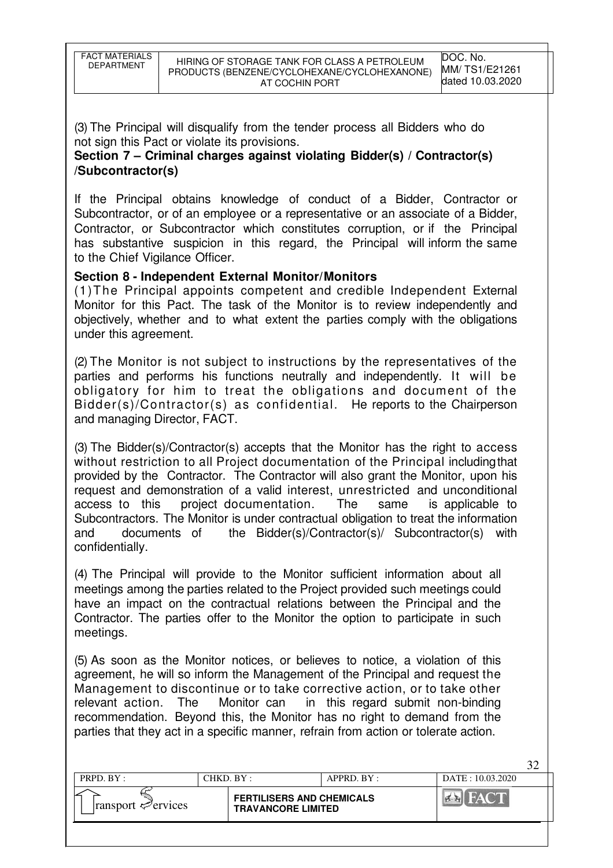32

(3) The Principal will disqualify from the tender process all Bidders who do not sign this Pact or violate its provisions.

# **Section 7 – Criminal charges against violating Bidder(s) / Contractor(s) /Subcontractor(s)**

If the Principal obtains knowledge of conduct of a Bidder, Contractor or Subcontractor, or of an employee or a representative or an associate of a Bidder, Contractor, or Subcontractor which constitutes corruption, or if the Principal has substantive suspicion in this regard, the Principal will inform the same to the Chief Vigilance Officer.

# **Section 8 - Independent External Monitor/Monitors**

(1)The Principal appoints competent and credible Independent External Monitor for this Pact. The task of the Monitor is to review independently and objectively, whether and to what extent the parties comply with the obligations under this agreement.

(2) The Monitor is not subject to instructions by the representatives of the parties and performs his functions neutrally and independently. It will be obligatory for him to treat the obligations and document of the Bidder(s)/Contractor(s) as confidential. He reports to the Chairperson and managing Director, FACT.

(3) The Bidder(s)/Contractor(s) accepts that the Monitor has the right to access without restriction to all Project documentation of the Principal including that provided by the Contractor. The Contractor will also grant the Monitor, upon his request and demonstration of a valid interest, unrestricted and unconditional access to this project documentation. The same is applicable to Subcontractors. The Monitor is under contractual obligation to treat the information and documents of the Bidder(s)/Contractor(s)/ Subcontractor(s) with confidentially.

(4) The Principal will provide to the Monitor sufficient information about all meetings among the parties related to the Project provided such meetings could have an impact on the contractual relations between the Principal and the Contractor. The parties offer to the Monitor the option to participate in such meetings.

(5) As soon as the Monitor notices, or believes to notice, a violation of this agreement, he will so inform the Management of the Principal and request the Management to discontinue or to take corrective action, or to take other relevant action. The Monitor can in this regard submit non-binding recommendation. Beyond this, the Monitor has no right to demand from the parties that they act in a specific manner, refrain from action or tolerate action.

| <b>FERTILISERS AND CHEMICALS</b><br>$\frac{1}{2}$<br>$\left\Vert \mathbf{r}\right\Vert$<br>transport $\mathcal{P}$ ervices<br><b>TRAVANCORE LIMITED</b> | PRPD. $BY:$ | CHKD. BY: |  | $APPRD$ $BY$ : | $DATA + 10.03.2020$ |
|---------------------------------------------------------------------------------------------------------------------------------------------------------|-------------|-----------|--|----------------|---------------------|
|                                                                                                                                                         |             |           |  |                |                     |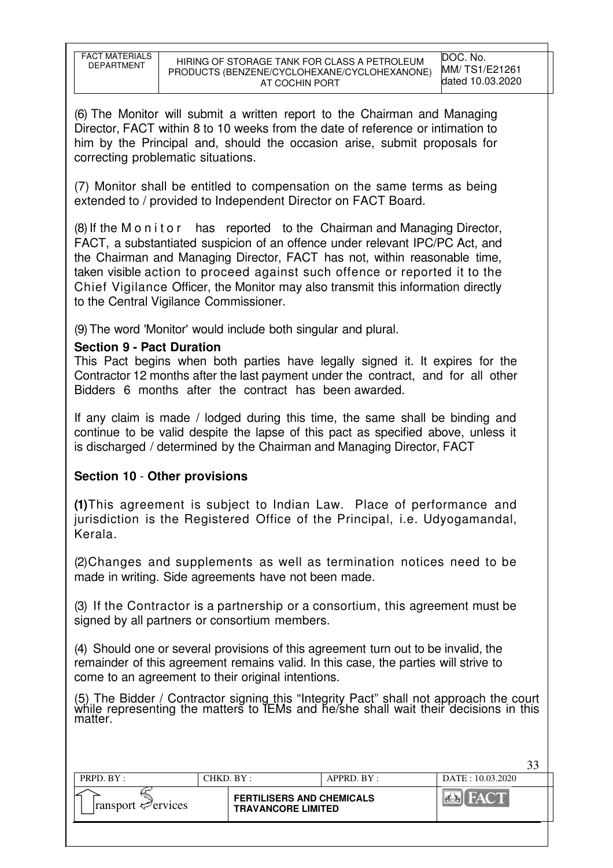33

(6) The Monitor will submit a written report to the Chairman and Managing Director, FACT within 8 to 10 weeks from the date of reference or intimation to him by the Principal and, should the occasion arise, submit proposals for correcting problematic situations.

(7) Monitor shall be entitled to compensation on the same terms as being extended to / provided to Independent Director on FACT Board.

(8) If the M o n i t o r has reported to the Chairman and Managing Director, FACT, a substantiated suspicion of an offence under relevant IPC/PC Act, and the Chairman and Managing Director, FACT has not, within reasonable time, taken visible action to proceed against such offence or reported it to the Chief Vigilance Officer, the Monitor may also transmit this information directly to the Central Vigilance Commissioner.

(9) The word 'Monitor' would include both singular and plural.

# **Section 9 - Pact Duration**

This Pact begins when both parties have legally signed it. It expires for the Contractor 12 months after the last payment under the contract, and for all other Bidders 6 months after the contract has been awarded.

If any claim is made / lodged during this time, the same shall be binding and continue to be valid despite the lapse of this pact as specified above, unless it is discharged / determined by the Chairman and Managing Director, FACT

# **Section 10** - **Other provisions**

**(1)**This agreement is subject to Indian Law. Place of performance and jurisdiction is the Registered Office of the Principal, i.e. Udyogamandal, Kerala.

(2)Changes and supplements as well as termination notices need to be made in writing. Side agreements have not been made.

(3) If the Contractor is a partnership or a consortium, this agreement must be signed by all partners or consortium members.

(4) Should one or several provisions of this agreement turn out to be invalid, the remainder of this agreement remains valid. In this case, the parties will strive to come to an agreement to their original intentions.

(5) The Bidder / Contractor signing this "Integrity Pact" shall not approach the court while representing the matters to IEMs and he/she shall wait their decisions in this matter.

| PRPD. BY:                          | CHKD. BY: |                                                               | APPRD. BY: | DATE: 10.03.2020                    |  |
|------------------------------------|-----------|---------------------------------------------------------------|------------|-------------------------------------|--|
| $ $ ransport $\mathcal{P}$ ervices |           | <b>FERTILISERS AND CHEMICALS</b><br><b>TRAVANCORE LIMITED</b> |            | $\left\Vert \mathcal{O}\right\Vert$ |  |